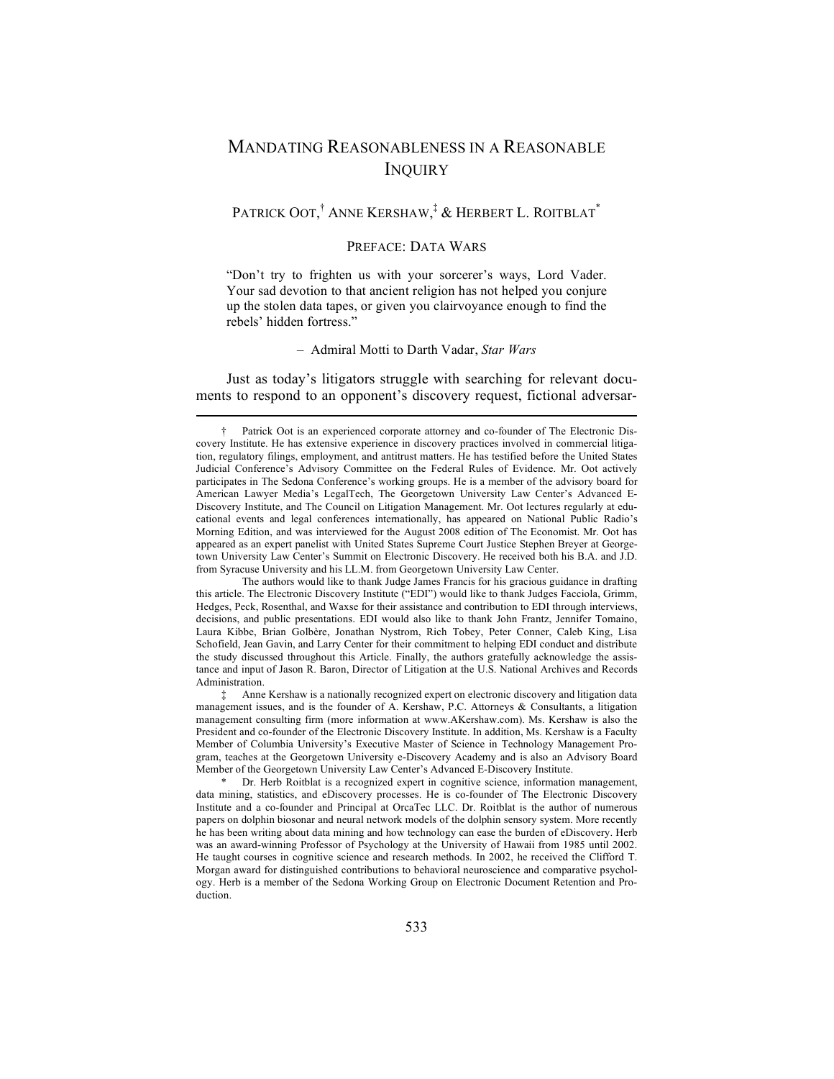# MANDATING REASONABLENESS IN A REASONABLE **INQUIRY**

## Patrick Oot,† Anne Kershaw,‡ & Herbert L. Roitblat\*

## PREFACE: DATA WARS

"Don't try to frighten us with your sorcerer's ways, Lord Vader. Your sad devotion to that ancient religion has not helped you conjure up the stolen data tapes, or given you clairvoyance enough to find the rebels' hidden fortress."

#### – Admiral Motti to Darth Vadar, *Star Wars*

Just as today's litigators struggle with searching for relevant documents to respond to an opponent's discovery request, fictional adversar-

<sup>†</sup> Patrick Oot is an experienced corporate attorney and co-founder of The Electronic Discovery Institute. He has extensive experience in discovery practices involved in commercial litigation, regulatory filings, employment, and antitrust matters. He has testified before the United States Judicial Conference's Advisory Committee on the Federal Rules of Evidence. Mr. Oot actively participates in The Sedona Conference's working groups. He is a member of the advisory board for American Lawyer Media's LegalTech, The Georgetown University Law Center's Advanced E-Discovery Institute, and The Council on Litigation Management. Mr. Oot lectures regularly at educational events and legal conferences internationally, has appeared on National Public Radio's Morning Edition, and was interviewed for the August 2008 edition of The Economist. Mr. Oot has appeared as an expert panelist with United States Supreme Court Justice Stephen Breyer at Georgetown University Law Center's Summit on Electronic Discovery. He received both his B.A. and J.D. from Syracuse University and his LL.M. from Georgetown University Law Center.

The authors would like to thank Judge James Francis for his gracious guidance in drafting this article. The Electronic Discovery Institute ("EDI") would like to thank Judges Facciola, Grimm, Hedges, Peck, Rosenthal, and Waxse for their assistance and contribution to EDI through interviews, decisions, and public presentations. EDI would also like to thank John Frantz, Jennifer Tomaino, Laura Kibbe, Brian Golbère, Jonathan Nystrom, Rich Tobey, Peter Conner, Caleb King, Lisa Schofield, Jean Gavin, and Larry Center for their commitment to helping EDI conduct and distribute the study discussed throughout this Article. Finally, the authors gratefully acknowledge the assistance and input of Jason R. Baron, Director of Litigation at the U.S. National Archives and Records Administration.

<sup>‡</sup> Anne Kershaw is a nationally recognized expert on electronic discovery and litigation data management issues, and is the founder of A. Kershaw, P.C. Attorneys & Consultants, a litigation management consulting firm (more information at www.AKershaw.com). Ms. Kershaw is also the President and co-founder of the Electronic Discovery Institute. In addition, Ms. Kershaw is a Faculty Member of Columbia University's Executive Master of Science in Technology Management Program, teaches at the Georgetown University e-Discovery Academy and is also an Advisory Board Member of the Georgetown University Law Center's Advanced E-Discovery Institute.

<sup>\*</sup> Dr. Herb Roitblat is a recognized expert in cognitive science, information management, data mining, statistics, and eDiscovery processes. He is co-founder of The Electronic Discovery Institute and a co-founder and Principal at OrcaTec LLC. Dr. Roitblat is the author of numerous papers on dolphin biosonar and neural network models of the dolphin sensory system. More recently he has been writing about data mining and how technology can ease the burden of eDiscovery. Herb was an award-winning Professor of Psychology at the University of Hawaii from 1985 until 2002. He taught courses in cognitive science and research methods. In 2002, he received the Clifford T. Morgan award for distinguished contributions to behavioral neuroscience and comparative psychology. Herb is a member of the Sedona Working Group on Electronic Document Retention and Production.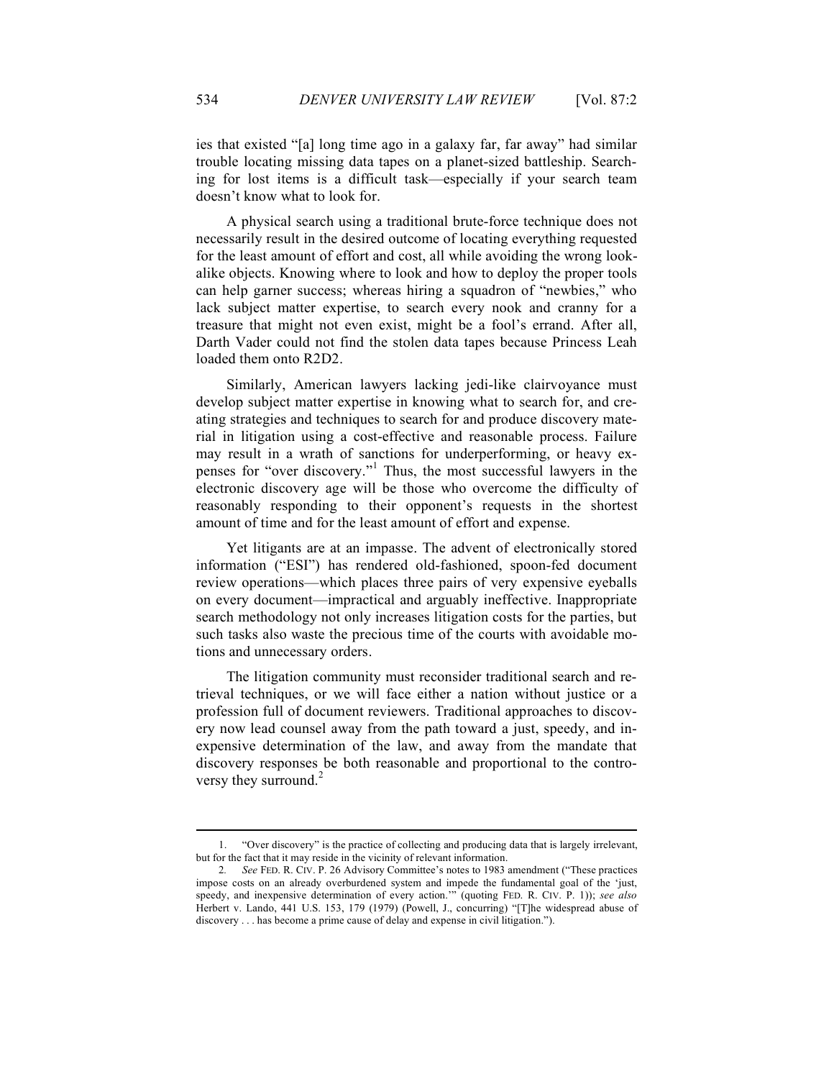ies that existed "[a] long time ago in a galaxy far, far away" had similar trouble locating missing data tapes on a planet-sized battleship. Searching for lost items is a difficult task—especially if your search team doesn't know what to look for.

A physical search using a traditional brute-force technique does not necessarily result in the desired outcome of locating everything requested for the least amount of effort and cost, all while avoiding the wrong lookalike objects. Knowing where to look and how to deploy the proper tools can help garner success; whereas hiring a squadron of "newbies," who lack subject matter expertise, to search every nook and cranny for a treasure that might not even exist, might be a fool's errand. After all, Darth Vader could not find the stolen data tapes because Princess Leah loaded them onto R2D2.

Similarly, American lawyers lacking jedi-like clairvoyance must develop subject matter expertise in knowing what to search for, and creating strategies and techniques to search for and produce discovery material in litigation using a cost-effective and reasonable process. Failure may result in a wrath of sanctions for underperforming, or heavy expenses for "over discovery."<sup>1</sup> Thus, the most successful lawyers in the electronic discovery age will be those who overcome the difficulty of reasonably responding to their opponent's requests in the shortest amount of time and for the least amount of effort and expense.

Yet litigants are at an impasse. The advent of electronically stored information ("ESI") has rendered old-fashioned, spoon-fed document review operations—which places three pairs of very expensive eyeballs on every document—impractical and arguably ineffective. Inappropriate search methodology not only increases litigation costs for the parties, but such tasks also waste the precious time of the courts with avoidable motions and unnecessary orders.

The litigation community must reconsider traditional search and retrieval techniques, or we will face either a nation without justice or a profession full of document reviewers. Traditional approaches to discovery now lead counsel away from the path toward a just, speedy, and inexpensive determination of the law, and away from the mandate that discovery responses be both reasonable and proportional to the controversy they surround.<sup>2</sup>

<sup>1.</sup> "Over discovery" is the practice of collecting and producing data that is largely irrelevant, but for the fact that it may reside in the vicinity of relevant information.

<sup>2</sup>*. See* FED. R. CIV. P. 26 Advisory Committee's notes to 1983 amendment ("These practices impose costs on an already overburdened system and impede the fundamental goal of the 'just, speedy, and inexpensive determination of every action.'" (quoting FED. R. CIV. P. 1)); *see also*  Herbert v. Lando, 441 U.S. 153, 179 (1979) (Powell, J., concurring) "[T]he widespread abuse of discovery . . . has become a prime cause of delay and expense in civil litigation.").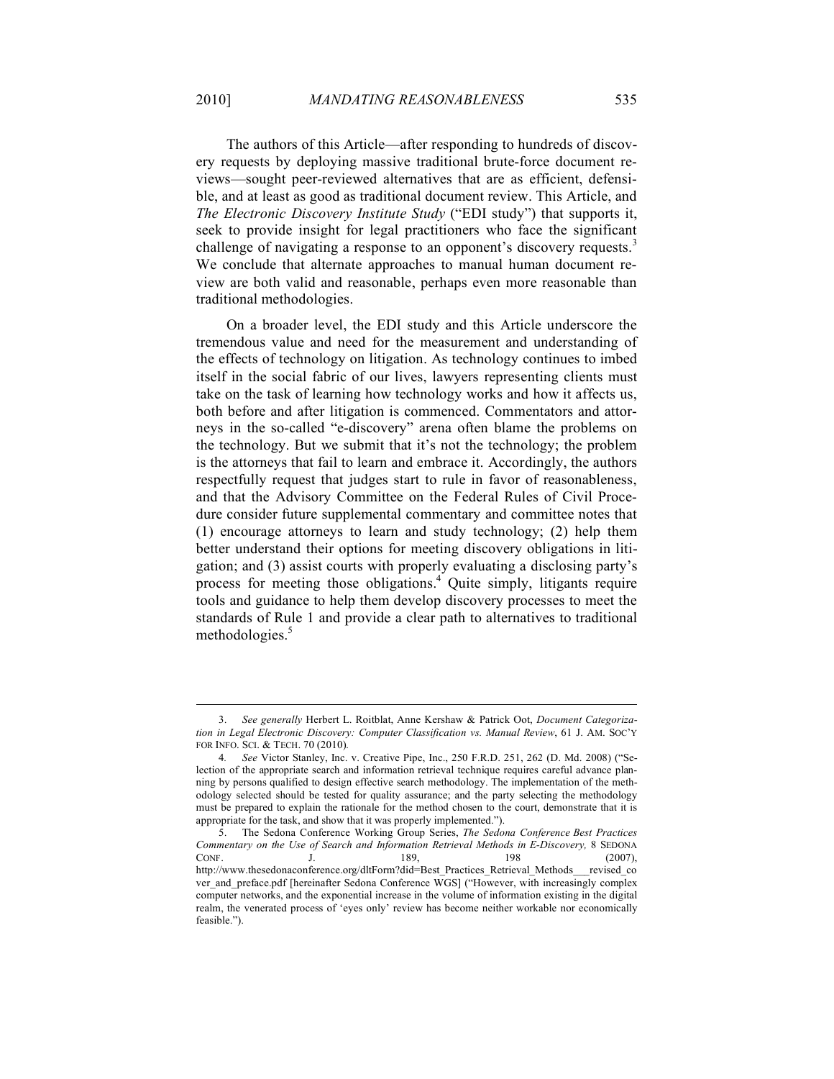The authors of this Article—after responding to hundreds of discovery requests by deploying massive traditional brute-force document reviews—sought peer-reviewed alternatives that are as efficient, defensible, and at least as good as traditional document review. This Article, and *The Electronic Discovery Institute Study* ("EDI study") that supports it, seek to provide insight for legal practitioners who face the significant challenge of navigating a response to an opponent's discovery requests.<sup>3</sup> We conclude that alternate approaches to manual human document review are both valid and reasonable, perhaps even more reasonable than traditional methodologies.

On a broader level, the EDI study and this Article underscore the tremendous value and need for the measurement and understanding of the effects of technology on litigation. As technology continues to imbed itself in the social fabric of our lives, lawyers representing clients must take on the task of learning how technology works and how it affects us, both before and after litigation is commenced. Commentators and attorneys in the so-called "e-discovery" arena often blame the problems on the technology. But we submit that it's not the technology; the problem is the attorneys that fail to learn and embrace it. Accordingly, the authors respectfully request that judges start to rule in favor of reasonableness, and that the Advisory Committee on the Federal Rules of Civil Procedure consider future supplemental commentary and committee notes that (1) encourage attorneys to learn and study technology; (2) help them better understand their options for meeting discovery obligations in litigation; and (3) assist courts with properly evaluating a disclosing party's process for meeting those obligations.<sup>4</sup> Quite simply, litigants require tools and guidance to help them develop discovery processes to meet the standards of Rule 1 and provide a clear path to alternatives to traditional methodologies. 5

<sup>3.</sup> *See generally* Herbert L. Roitblat, Anne Kershaw & Patrick Oot, *Document Categorization in Legal Electronic Discovery: Computer Classification vs. Manual Review*, 61 J. AM. SOC'Y FOR INFO. SCI. & TECH. 70 (2010)*.*

<sup>4</sup>*. See* Victor Stanley, Inc. v. Creative Pipe, Inc., 250 F.R.D. 251, 262 (D. Md. 2008) ("Selection of the appropriate search and information retrieval technique requires careful advance planning by persons qualified to design effective search methodology. The implementation of the methodology selected should be tested for quality assurance; and the party selecting the methodology must be prepared to explain the rationale for the method chosen to the court, demonstrate that it is appropriate for the task, and show that it was properly implemented.").

<sup>5.</sup> The Sedona Conference Working Group Series, *The Sedona Conference Best Practices Commentary on the Use of Search and Information Retrieval Methods in E-Discovery,* 8 SEDONA CONF. J. 189, 198 (2007), http://www.thesedonaconference.org/dltForm?did=Best\_Practices\_Retrieval\_Methods\_\_\_revised\_co ver\_and\_preface.pdf [hereinafter Sedona Conference WGS] ("However, with increasingly complex computer networks, and the exponential increase in the volume of information existing in the digital realm, the venerated process of 'eyes only' review has become neither workable nor economically feasible.").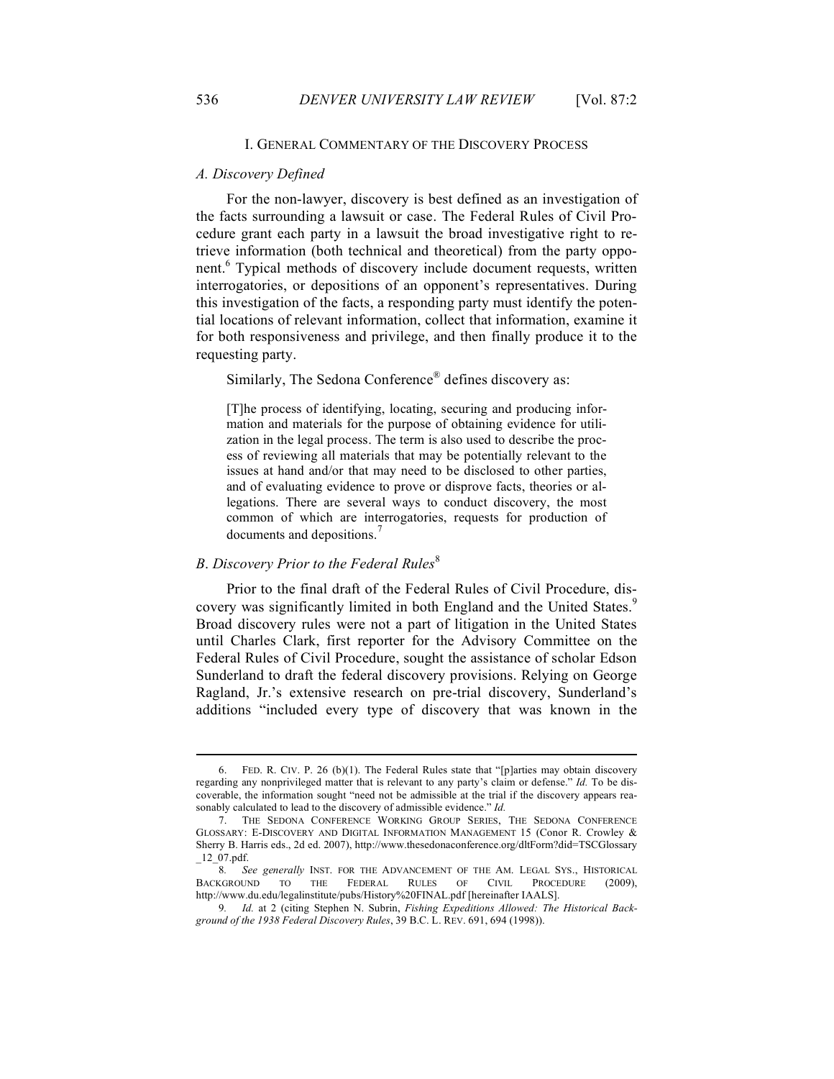#### I. GENERAL COMMENTARY OF THE DISCOVERY PROCESS

#### *A. Discovery Defined*

For the non-lawyer, discovery is best defined as an investigation of the facts surrounding a lawsuit or case. The Federal Rules of Civil Procedure grant each party in a lawsuit the broad investigative right to retrieve information (both technical and theoretical) from the party opponent.<sup>6</sup> Typical methods of discovery include document requests, written interrogatories, or depositions of an opponent's representatives. During this investigation of the facts, a responding party must identify the potential locations of relevant information, collect that information, examine it for both responsiveness and privilege, and then finally produce it to the requesting party.

Similarly, The Sedona Conference<sup>®</sup> defines discovery as:

[T]he process of identifying, locating, securing and producing information and materials for the purpose of obtaining evidence for utilization in the legal process. The term is also used to describe the process of reviewing all materials that may be potentially relevant to the issues at hand and/or that may need to be disclosed to other parties, and of evaluating evidence to prove or disprove facts, theories or allegations. There are several ways to conduct discovery, the most common of which are interrogatories, requests for production of documents and depositions.<sup>7</sup>

### *B. Discovery Prior to the Federal Rules*<sup>8</sup>

Prior to the final draft of the Federal Rules of Civil Procedure, discovery was significantly limited in both England and the United States.<sup>9</sup> Broad discovery rules were not a part of litigation in the United States until Charles Clark, first reporter for the Advisory Committee on the Federal Rules of Civil Procedure, sought the assistance of scholar Edson Sunderland to draft the federal discovery provisions. Relying on George Ragland, Jr.'s extensive research on pre-trial discovery, Sunderland's additions "included every type of discovery that was known in the

<sup>6.</sup> FED. R. CIV. P. 26 (b)(1). The Federal Rules state that "[p]arties may obtain discovery regarding any nonprivileged matter that is relevant to any party's claim or defense." *Id.* To be discoverable, the information sought "need not be admissible at the trial if the discovery appears reasonably calculated to lead to the discovery of admissible evidence." *Id.*

<sup>7.</sup> THE SEDONA CONFERENCE WORKING GROUP SERIES, THE SEDONA CONFERENCE GLOSSARY: E-DISCOVERY AND DIGITAL INFORMATION MANAGEMENT 15 (Conor R. Crowley & Sherry B. Harris eds., 2d ed. 2007), http://www.thesedonaconference.org/dltForm?did=TSCGlossary  $\_12\_07.pdf$ .

<sup>8</sup>*. See generally* INST. FOR THE ADVANCEMENT OF THE AM. LEGAL SYS., HISTORICAL BACKGROUND TO THE FEDERAL RULES OF CIVIL PROCEDURE (2009), http://www.du.edu/legalinstitute/pubs/History%20FINAL.pdf [hereinafter IAALS].

<sup>9</sup>*. Id.* at 2 (citing Stephen N. Subrin, *Fishing Expeditions Allowed: The Historical Background of the 1938 Federal Discovery Rules*, 39 B.C. L. REV. 691, 694 (1998)).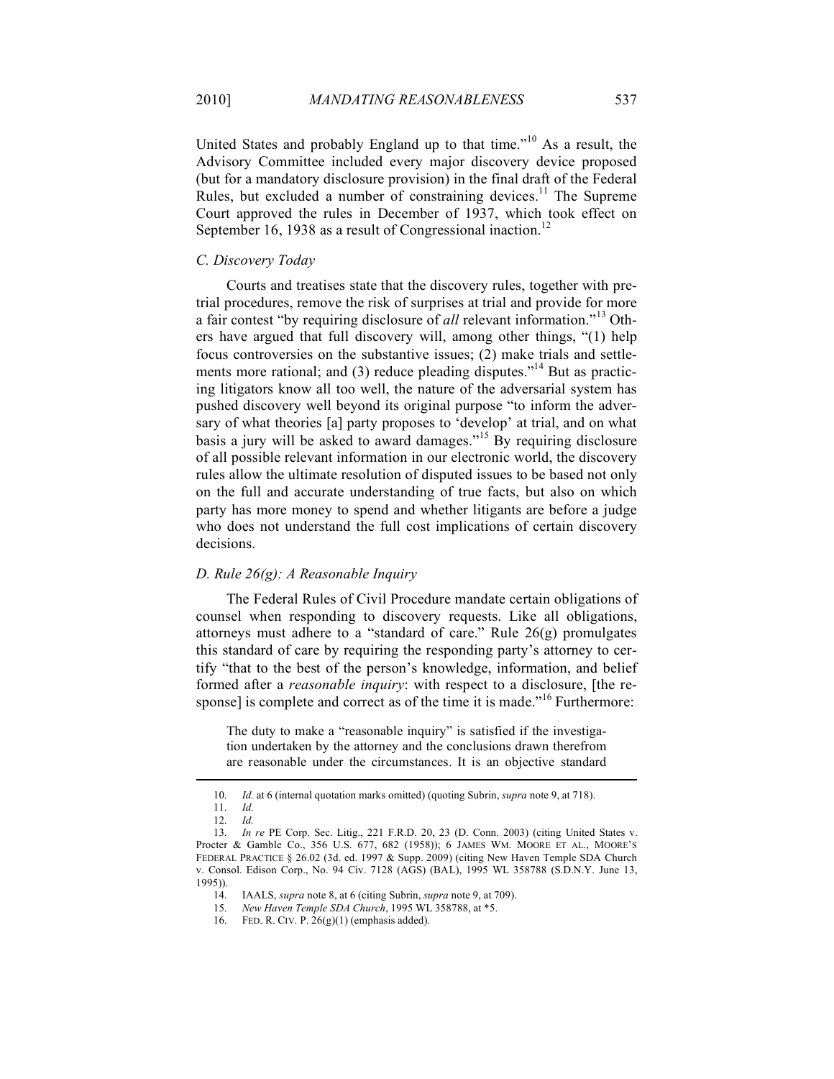United States and probably England up to that time."<sup>10</sup> As a result, the Advisory Committee included every major discovery device proposed (but for a mandatory disclosure provision) in the final draft of the Federal Rules, but excluded a number of constraining devices.<sup>11</sup> The Supreme Court approved the rules in December of 1937, which took effect on September 16, 1938 as a result of Congressional inaction.<sup>12</sup>

### *C. Discovery Today*

Courts and treatises state that the discovery rules, together with pretrial procedures, remove the risk of surprises at trial and provide for more a fair contest "by requiring disclosure of *all* relevant information."<sup>13</sup> Others have argued that full discovery will, among other things, "(1) help focus controversies on the substantive issues; (2) make trials and settlements more rational; and (3) reduce pleading disputes.<sup> $14$ </sup> But as practicing litigators know all too well, the nature of the adversarial system has pushed discovery well beyond its original purpose "to inform the adversary of what theories [a] party proposes to 'develop' at trial, and on what basis a jury will be asked to award damages."<sup>15</sup> By requiring disclosure of all possible relevant information in our electronic world, the discovery rules allow the ultimate resolution of disputed issues to be based not only on the full and accurate understanding of true facts, but also on which party has more money to spend and whether litigants are before a judge who does not understand the full cost implications of certain discovery decisions.

## *D. Rule 26(g): A Reasonable Inquiry*

The Federal Rules of Civil Procedure mandate certain obligations of counsel when responding to discovery requests. Like all obligations, attorneys must adhere to a "standard of care." Rule 26(g) promulgates this standard of care by requiring the responding party's attorney to certify "that to the best of the person's knowledge, information, and belief formed after a *reasonable inquiry*: with respect to a disclosure, [the response] is complete and correct as of the time it is made."<sup>16</sup> Furthermore:

The duty to make a "reasonable inquiry" is satisfied if the investigation undertaken by the attorney and the conclusions drawn therefrom are reasonable under the circumstances. It is an objective standard

<sup>10.</sup> *Id.* at 6 (internal quotation marks omitted) (quoting Subrin, *supra* note 9, at 718).

<sup>11.</sup> *Id.*

<sup>12.</sup> *Id.*

<sup>13.</sup> *In re* PE Corp. Sec. Litig., 221 F.R.D. 20, 23 (D. Conn. 2003) (citing United States v. Procter & Gamble Co., 356 U.S. 677, 682 (1958)); 6 JAMES WM. MOORE ET AL., MOORE'S FEDERAL PRACTICE § 26.02 (3d. ed. 1997 & Supp. 2009) (citing New Haven Temple SDA Church v. Consol. Edison Corp., No. 94 Civ. 7128 (AGS) (BAL), 1995 WL 358788 (S.D.N.Y. June 13, 1995)).

<sup>14.</sup> IAALS, *supra* note 8, at 6 (citing Subrin, *supra* note 9, at 709).

<sup>15.</sup> *New Haven Temple SDA Church*, 1995 WL 358788, at \*5.

<sup>16.</sup> FED. R. CIV. P. 26(g)(1) (emphasis added).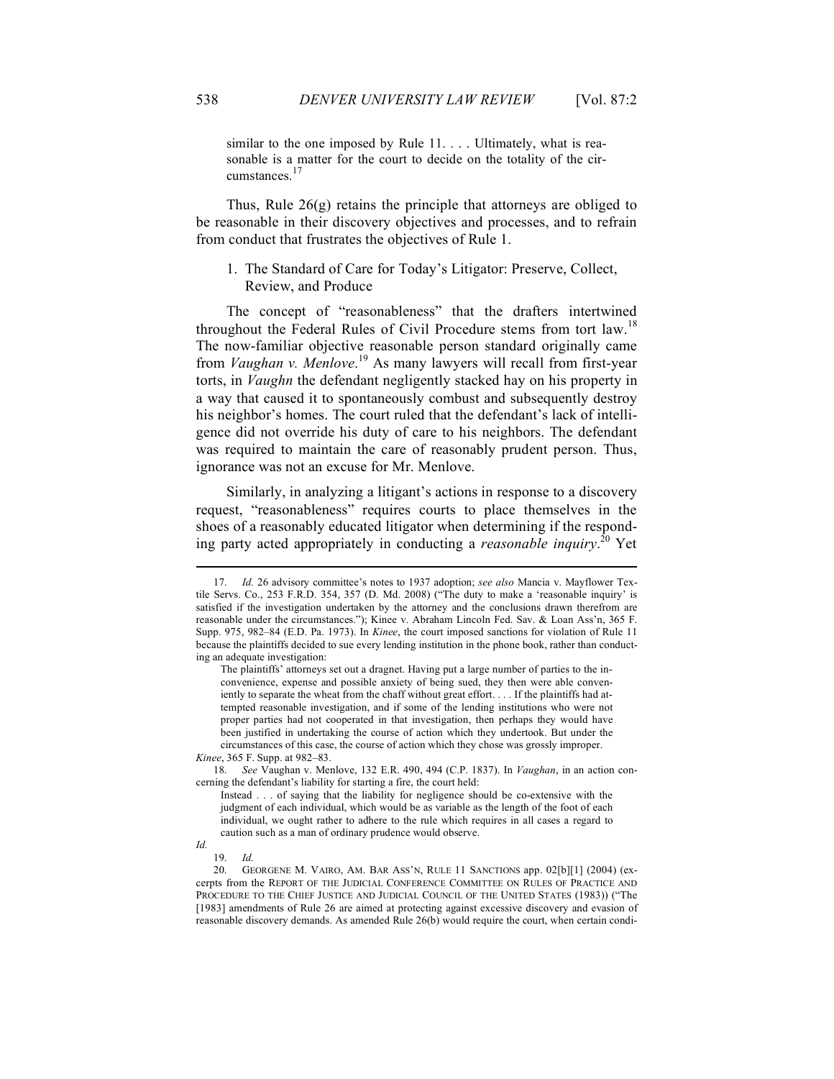similar to the one imposed by Rule 11. . . . Ultimately, what is reasonable is a matter for the court to decide on the totality of the circumstances.<sup>17</sup>

Thus, Rule 26(g) retains the principle that attorneys are obliged to be reasonable in their discovery objectives and processes, and to refrain from conduct that frustrates the objectives of Rule 1.

1. The Standard of Care for Today's Litigator: Preserve, Collect, Review, and Produce

The concept of "reasonableness" that the drafters intertwined throughout the Federal Rules of Civil Procedure stems from tort law.<sup>18</sup> The now-familiar objective reasonable person standard originally came from *Vaughan v. Menlove*. <sup>19</sup> As many lawyers will recall from first-year torts, in *Vaughn* the defendant negligently stacked hay on his property in a way that caused it to spontaneously combust and subsequently destroy his neighbor's homes. The court ruled that the defendant's lack of intelligence did not override his duty of care to his neighbors. The defendant was required to maintain the care of reasonably prudent person. Thus, ignorance was not an excuse for Mr. Menlove.

Similarly, in analyzing a litigant's actions in response to a discovery request, "reasonableness" requires courts to place themselves in the shoes of a reasonably educated litigator when determining if the responding party acted appropriately in conducting a *reasonable inquiry*. <sup>20</sup> Yet

<sup>17.</sup> *Id.* 26 advisory committee's notes to 1937 adoption; *see also* Mancia v. Mayflower Textile Servs. Co., 253 F.R.D. 354, 357 (D. Md. 2008) ("The duty to make a 'reasonable inquiry' is satisfied if the investigation undertaken by the attorney and the conclusions drawn therefrom are reasonable under the circumstances."); Kinee v. Abraham Lincoln Fed. Sav. & Loan Ass'n, 365 F. Supp. 975, 982–84 (E.D. Pa. 1973). In *Kinee*, the court imposed sanctions for violation of Rule 11 because the plaintiffs decided to sue every lending institution in the phone book, rather than conducting an adequate investigation:

The plaintiffs' attorneys set out a dragnet. Having put a large number of parties to the inconvenience, expense and possible anxiety of being sued, they then were able conveniently to separate the wheat from the chaff without great effort. . . . If the plaintiffs had attempted reasonable investigation, and if some of the lending institutions who were not proper parties had not cooperated in that investigation, then perhaps they would have been justified in undertaking the course of action which they undertook. But under the circumstances of this case, the course of action which they chose was grossly improper. *Kinee*, 365 F. Supp. at 982–83.

<sup>18.</sup> *See* Vaughan v. Menlove, 132 E.R. 490, 494 (C.P. 1837). In *Vaughan*, in an action concerning the defendant's liability for starting a fire, the court held:

Instead . . . of saying that the liability for negligence should be co-extensive with the judgment of each individual, which would be as variable as the length of the foot of each individual, we ought rather to adhere to the rule which requires in all cases a regard to caution such as a man of ordinary prudence would observe.

*Id.*

<sup>19.</sup> *Id.*

<sup>20.</sup> GEORGENE M. VAIRO, AM. BAR ASS'N, RULE 11 SANCTIONS app. 02[b][1] (2004) (excerpts from the REPORT OF THE JUDICIAL CONFERENCE COMMITTEE ON RULES OF PRACTICE AND PROCEDURE TO THE CHIEF JUSTICE AND JUDICIAL COUNCIL OF THE UNITED STATES (1983)) ("The [1983] amendments of Rule 26 are aimed at protecting against excessive discovery and evasion of reasonable discovery demands. As amended Rule 26(b) would require the court, when certain condi-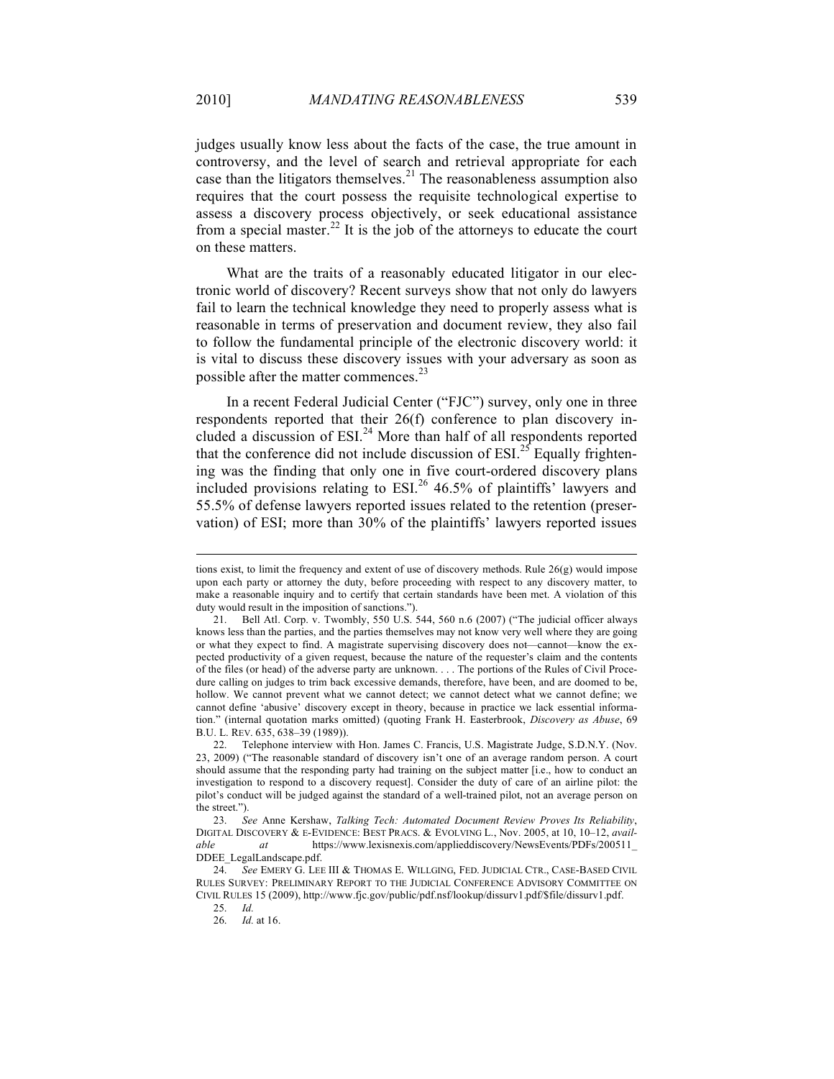judges usually know less about the facts of the case, the true amount in controversy, and the level of search and retrieval appropriate for each case than the litigators themselves. $21$  The reasonableness assumption also requires that the court possess the requisite technological expertise to assess a discovery process objectively, or seek educational assistance from a special master.<sup>22</sup> It is the job of the attorneys to educate the court on these matters.

What are the traits of a reasonably educated litigator in our electronic world of discovery? Recent surveys show that not only do lawyers fail to learn the technical knowledge they need to properly assess what is reasonable in terms of preservation and document review, they also fail to follow the fundamental principle of the electronic discovery world: it is vital to discuss these discovery issues with your adversary as soon as possible after the matter commences.<sup>23</sup>

In a recent Federal Judicial Center ("FJC") survey, only one in three respondents reported that their 26(f) conference to plan discovery included a discussion of  $ESI<sup>24</sup>$  More than half of all respondents reported that the conference did not include discussion of  $ESI<sup>25</sup>$  Equally frightening was the finding that only one in five court-ordered discovery plans included provisions relating to  $ESI<sup>26</sup> 46.5%$  of plaintiffs' lawyers and 55.5% of defense lawyers reported issues related to the retention (preservation) of ESI; more than 30% of the plaintiffs' lawyers reported issues

tions exist, to limit the frequency and extent of use of discovery methods. Rule 26(g) would impose upon each party or attorney the duty, before proceeding with respect to any discovery matter, to make a reasonable inquiry and to certify that certain standards have been met. A violation of this duty would result in the imposition of sanctions.").

<sup>21.</sup> Bell Atl. Corp. v. Twombly, 550 U.S. 544, 560 n.6 (2007) ("The judicial officer always knows less than the parties, and the parties themselves may not know very well where they are going or what they expect to find. A magistrate supervising discovery does not—cannot—know the expected productivity of a given request, because the nature of the requester's claim and the contents of the files (or head) of the adverse party are unknown. . . . The portions of the Rules of Civil Procedure calling on judges to trim back excessive demands, therefore, have been, and are doomed to be, hollow. We cannot prevent what we cannot detect; we cannot detect what we cannot define; we cannot define 'abusive' discovery except in theory, because in practice we lack essential information." (internal quotation marks omitted) (quoting Frank H. Easterbrook, *Discovery as Abuse*, 69 B.U. L. REV. 635, 638–39 (1989)).

<sup>22.</sup> Telephone interview with Hon. James C. Francis, U.S. Magistrate Judge, S.D.N.Y. (Nov. 23, 2009) ("The reasonable standard of discovery isn't one of an average random person. A court should assume that the responding party had training on the subject matter [i.e., how to conduct an investigation to respond to a discovery request]. Consider the duty of care of an airline pilot: the pilot's conduct will be judged against the standard of a well-trained pilot, not an average person on the street.").

<sup>23.</sup> *See* Anne Kershaw, *Talking Tech: Automated Document Review Proves Its Reliability*, DIGITAL DISCOVERY & E-EVIDENCE: BEST PRACS. & EVOLVING L., Nov. 2005, at 10, 10–12, *available at* https://www.lexisnexis.com/applieddiscovery/NewsEvents/PDFs/200511\_ DDEE\_LegalLandscape.pdf.

<sup>24.</sup> *See* EMERY G. LEE III & THOMAS E. WILLGING, FED. JUDICIAL CTR., CASE-BASED CIVIL RULES SURVEY: PRELIMINARY REPORT TO THE JUDICIAL CONFERENCE ADVISORY COMMITTEE ON CIVIL RULES 15 (2009), http://www.fjc.gov/public/pdf.nsf/lookup/dissurv1.pdf/\$file/dissurv1.pdf.

<sup>25.</sup> *Id.*

*Id.* at 16.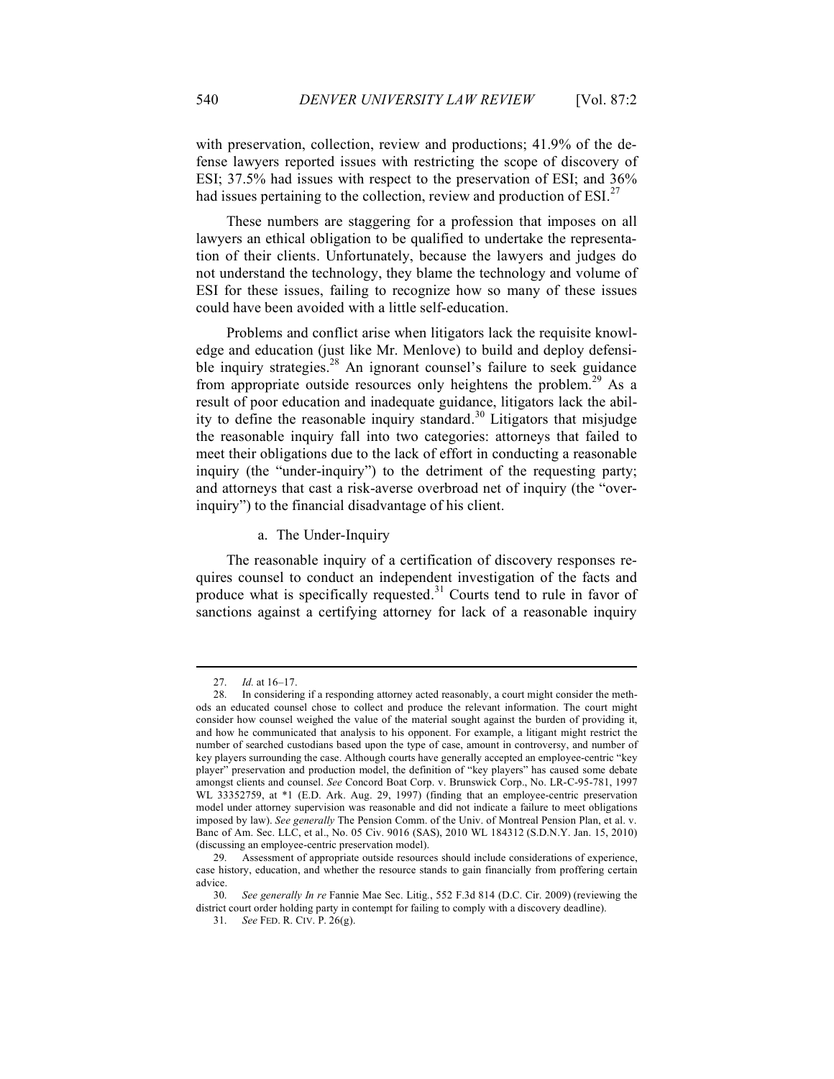with preservation, collection, review and productions; 41.9% of the defense lawyers reported issues with restricting the scope of discovery of ESI; 37.5% had issues with respect to the preservation of ESI; and 36% had issues pertaining to the collection, review and production of  $ESI^{27}$ 

These numbers are staggering for a profession that imposes on all lawyers an ethical obligation to be qualified to undertake the representation of their clients. Unfortunately, because the lawyers and judges do not understand the technology, they blame the technology and volume of ESI for these issues, failing to recognize how so many of these issues could have been avoided with a little self-education.

Problems and conflict arise when litigators lack the requisite knowledge and education (just like Mr. Menlove) to build and deploy defensible inquiry strategies.<sup>28</sup> An ignorant counsel's failure to seek guidance from appropriate outside resources only heightens the problem.<sup>29</sup> As a result of poor education and inadequate guidance, litigators lack the ability to define the reasonable inquiry standard.<sup>30</sup> Litigators that misjudge the reasonable inquiry fall into two categories: attorneys that failed to meet their obligations due to the lack of effort in conducting a reasonable inquiry (the "under-inquiry") to the detriment of the requesting party; and attorneys that cast a risk-averse overbroad net of inquiry (the "overinquiry") to the financial disadvantage of his client.

a. The Under-Inquiry

The reasonable inquiry of a certification of discovery responses requires counsel to conduct an independent investigation of the facts and produce what is specifically requested. $31$  Courts tend to rule in favor of sanctions against a certifying attorney for lack of a reasonable inquiry

<sup>27.</sup> *Id.* at 16–17.

<sup>28.</sup> In considering if a responding attorney acted reasonably, a court might consider the methods an educated counsel chose to collect and produce the relevant information. The court might consider how counsel weighed the value of the material sought against the burden of providing it, and how he communicated that analysis to his opponent. For example, a litigant might restrict the number of searched custodians based upon the type of case, amount in controversy, and number of key players surrounding the case. Although courts have generally accepted an employee-centric "key player" preservation and production model, the definition of "key players" has caused some debate amongst clients and counsel. *See* Concord Boat Corp. v. Brunswick Corp., No. LR-C-95-781, 1997 WL 33352759, at \*1 (E.D. Ark. Aug. 29, 1997) (finding that an employee-centric preservation model under attorney supervision was reasonable and did not indicate a failure to meet obligations imposed by law). *See generally* The Pension Comm. of the Univ. of Montreal Pension Plan, et al. v. Banc of Am. Sec. LLC, et al., No. 05 Civ. 9016 (SAS), 2010 WL 184312 (S.D.N.Y. Jan. 15, 2010) (discussing an employee-centric preservation model).

<sup>29.</sup> Assessment of appropriate outside resources should include considerations of experience, case history, education, and whether the resource stands to gain financially from proffering certain advice.

<sup>30.</sup> *See generally In re* Fannie Mae Sec. Litig*.*, 552 F.3d 814 (D.C. Cir. 2009) (reviewing the district court order holding party in contempt for failing to comply with a discovery deadline).

<sup>31.</sup> *See* FED. R. CIV. P. 26(g).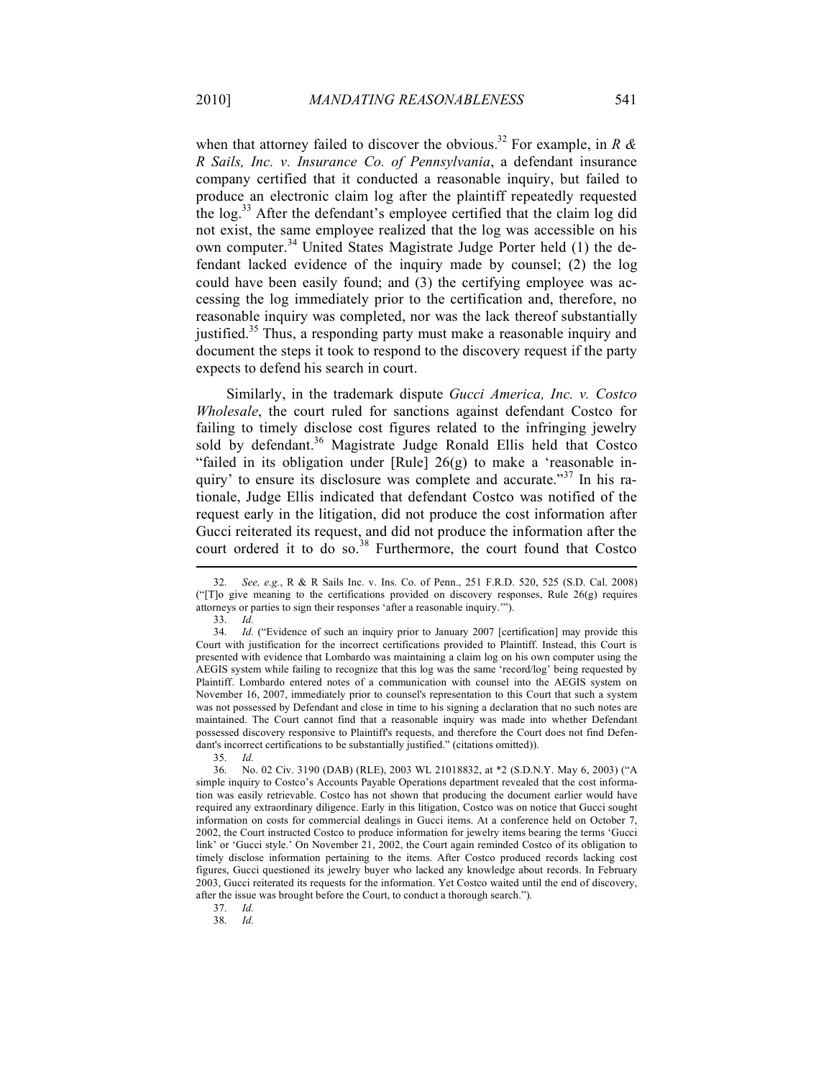when that attorney failed to discover the obvious.<sup>32</sup> For example, in *R & R Sails, Inc. v. Insurance Co. of Pennsylvania*, a defendant insurance company certified that it conducted a reasonable inquiry, but failed to produce an electronic claim log after the plaintiff repeatedly requested the log.<sup>33</sup> After the defendant's employee certified that the claim log did not exist, the same employee realized that the log was accessible on his own computer.<sup>34</sup> United States Magistrate Judge Porter held (1) the defendant lacked evidence of the inquiry made by counsel; (2) the log could have been easily found; and (3) the certifying employee was accessing the log immediately prior to the certification and, therefore, no reasonable inquiry was completed, nor was the lack thereof substantially justified.<sup>35</sup> Thus, a responding party must make a reasonable inquiry and document the steps it took to respond to the discovery request if the party expects to defend his search in court.

Similarly, in the trademark dispute *Gucci America, Inc. v. Costco Wholesale*, the court ruled for sanctions against defendant Costco for failing to timely disclose cost figures related to the infringing jewelry sold by defendant.<sup>36</sup> Magistrate Judge Ronald Ellis held that Costco "failed in its obligation under [Rule]  $26(g)$  to make a 'reasonable inquiry' to ensure its disclosure was complete and accurate."<sup>37</sup> In his rationale, Judge Ellis indicated that defendant Costco was notified of the request early in the litigation, did not produce the cost information after Gucci reiterated its request, and did not produce the information after the court ordered it to do so. $38$  Furthermore, the court found that Costco

37. *Id.*

38. *Id.*

<sup>32.</sup> *See, e.g.*, R & R Sails Inc. v. Ins. Co. of Penn., 251 F.R.D. 520, 525 (S.D. Cal. 2008) (" $T$ ]o give meaning to the certifications provided on discovery responses, Rule 26(g) requires attorneys or parties to sign their responses 'after a reasonable inquiry.'").

<sup>33.</sup> *Id.*

<sup>34.</sup> *Id.* ("Evidence of such an inquiry prior to January 2007 [certification] may provide this Court with justification for the incorrect certifications provided to Plaintiff. Instead, this Court is presented with evidence that Lombardo was maintaining a claim log on his own computer using the AEGIS system while failing to recognize that this log was the same 'record/log' being requested by Plaintiff. Lombardo entered notes of a communication with counsel into the AEGIS system on November 16, 2007, immediately prior to counsel's representation to this Court that such a system was not possessed by Defendant and close in time to his signing a declaration that no such notes are maintained. The Court cannot find that a reasonable inquiry was made into whether Defendant possessed discovery responsive to Plaintiff's requests, and therefore the Court does not find Defendant's incorrect certifications to be substantially justified." (citations omitted)).

<sup>35.</sup> *Id.*

<sup>36.</sup> No. 02 Civ. 3190 (DAB) (RLE), 2003 WL 21018832, at \*2 (S.D.N.Y. May 6, 2003) ("A simple inquiry to Costco's Accounts Payable Operations department revealed that the cost information was easily retrievable. Costco has not shown that producing the document earlier would have required any extraordinary diligence. Early in this litigation, Costco was on notice that Gucci sought information on costs for commercial dealings in Gucci items. At a conference held on October 7, 2002, the Court instructed Costco to produce information for jewelry items bearing the terms 'Gucci link' or 'Gucci style.' On November 21, 2002, the Court again reminded Costco of its obligation to timely disclose information pertaining to the items. After Costco produced records lacking cost figures, Gucci questioned its jewelry buyer who lacked any knowledge about records. In February 2003, Gucci reiterated its requests for the information. Yet Costco waited until the end of discovery, after the issue was brought before the Court, to conduct a thorough search.").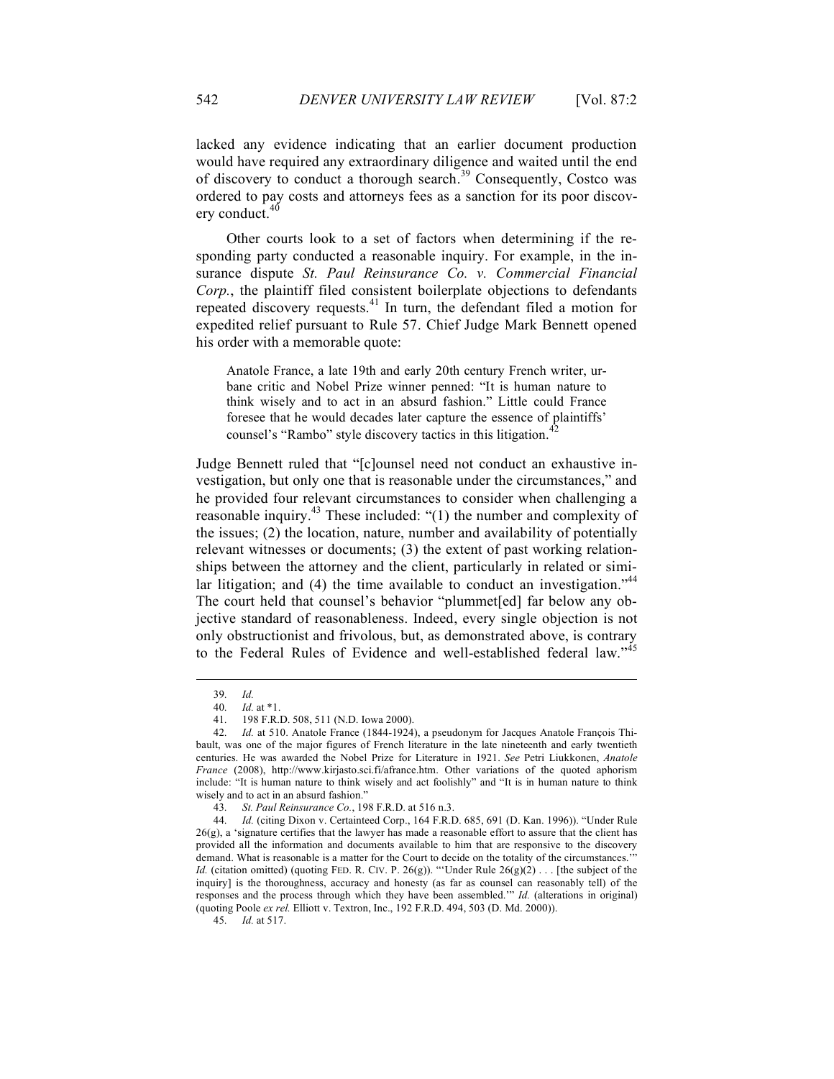lacked any evidence indicating that an earlier document production would have required any extraordinary diligence and waited until the end of discovery to conduct a thorough search.<sup>39</sup> Consequently, Costco was ordered to pay costs and attorneys fees as a sanction for its poor discovery conduct.<sup>40</sup>

Other courts look to a set of factors when determining if the responding party conducted a reasonable inquiry. For example, in the insurance dispute *St. Paul Reinsurance Co. v. Commercial Financial Corp.*, the plaintiff filed consistent boilerplate objections to defendants repeated discovery requests.41 In turn, the defendant filed a motion for expedited relief pursuant to Rule 57. Chief Judge Mark Bennett opened his order with a memorable quote:

Anatole France, a late 19th and early 20th century French writer, urbane critic and Nobel Prize winner penned: "It is human nature to think wisely and to act in an absurd fashion." Little could France foresee that he would decades later capture the essence of plaintiffs' counsel's "Rambo" style discovery tactics in this litigation.<sup>4</sup>

Judge Bennett ruled that "[c]ounsel need not conduct an exhaustive investigation, but only one that is reasonable under the circumstances," and he provided four relevant circumstances to consider when challenging a reasonable inquiry.<sup>43</sup> These included: "(1) the number and complexity of the issues; (2) the location, nature, number and availability of potentially relevant witnesses or documents; (3) the extent of past working relationships between the attorney and the client, particularly in related or similar litigation; and (4) the time available to conduct an investigation."<sup>44</sup> The court held that counsel's behavior "plummet[ed] far below any objective standard of reasonableness. Indeed, every single objection is not only obstructionist and frivolous, but, as demonstrated above, is contrary to the Federal Rules of Evidence and well-established federal law."<sup>45</sup>

<sup>39.</sup> *Id.*

<sup>40.</sup> *Id.* at \*1.

<sup>41.</sup> 198 F.R.D. 508, 511 (N.D. Iowa 2000).

<sup>42.</sup> *Id.* at 510. Anatole France (1844-1924), a pseudonym for Jacques Anatole François Thibault, was one of the major figures of French literature in the late nineteenth and early twentieth centuries. He was awarded the Nobel Prize for Literature in 1921. *See* Petri Liukkonen, *Anatole France* (2008), http://www.kirjasto.sci.fi/afrance.htm. Other variations of the quoted aphorism include: "It is human nature to think wisely and act foolishly" and "It is in human nature to think wisely and to act in an absurd fashion."

<sup>43.</sup> *St. Paul Reinsurance Co.*, 198 F.R.D. at 516 n.3.

<sup>44.</sup> *Id.* (citing Dixon v. Certainteed Corp., 164 F.R.D. 685, 691 (D. Kan. 1996)). "Under Rule 26(g), a 'signature certifies that the lawyer has made a reasonable effort to assure that the client has provided all the information and documents available to him that are responsive to the discovery demand. What is reasonable is a matter for the Court to decide on the totality of the circumstances.' *Id.* (citation omitted) (quoting FED. R. CIV. P. 26(g)). "'Under Rule  $26(g)(2)$ ... [the subject of the inquiry] is the thoroughness, accuracy and honesty (as far as counsel can reasonably tell) of the responses and the process through which they have been assembled.'" *Id.* (alterations in original) (quoting Poole *ex rel.* Elliott v. Textron, Inc., 192 F.R.D. 494, 503 (D. Md. 2000)).

<sup>45.</sup> *Id.* at 517.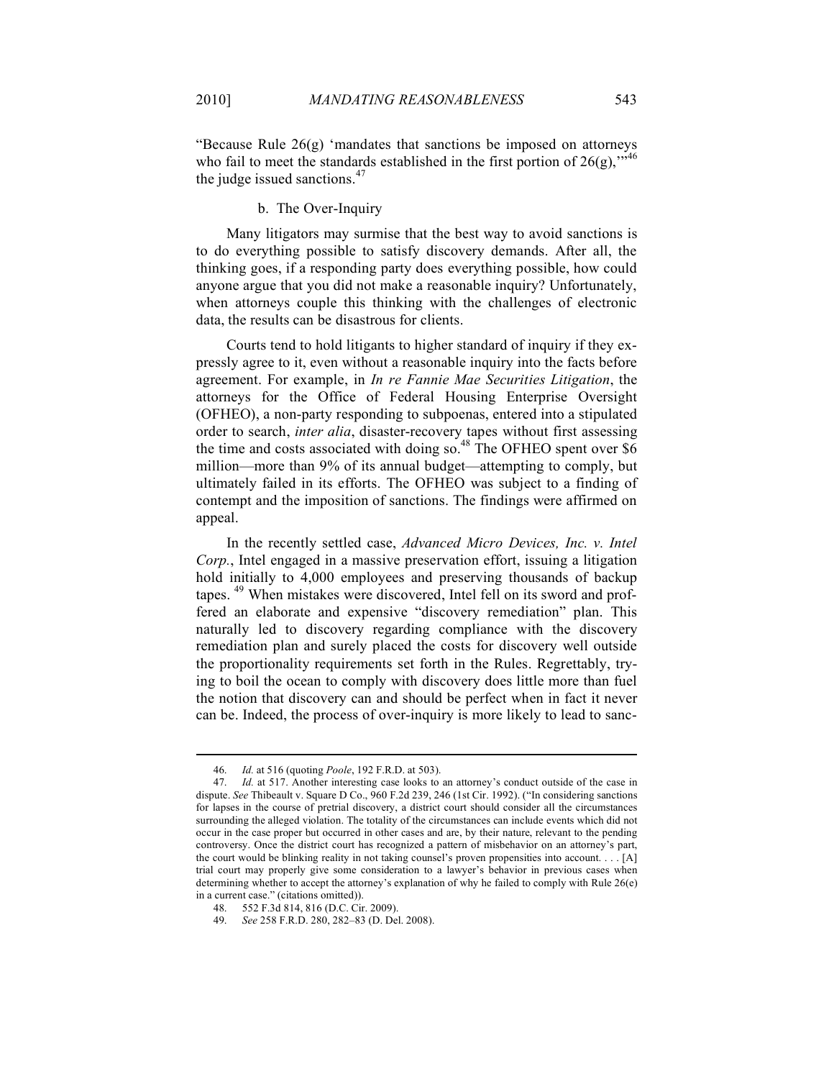"Because Rule 26(g) 'mandates that sanctions be imposed on attorneys who fail to meet the standards established in the first portion of  $26(g)$ ,<sup>"46</sup> the judge issued sanctions.<sup>47</sup>

#### b. The Over-Inquiry

Many litigators may surmise that the best way to avoid sanctions is to do everything possible to satisfy discovery demands. After all, the thinking goes, if a responding party does everything possible, how could anyone argue that you did not make a reasonable inquiry? Unfortunately, when attorneys couple this thinking with the challenges of electronic data, the results can be disastrous for clients.

Courts tend to hold litigants to higher standard of inquiry if they expressly agree to it, even without a reasonable inquiry into the facts before agreement. For example, in *In re Fannie Mae Securities Litigation*, the attorneys for the Office of Federal Housing Enterprise Oversight (OFHEO), a non-party responding to subpoenas, entered into a stipulated order to search, *inter alia*, disaster-recovery tapes without first assessing the time and costs associated with doing so.<sup>48</sup> The OFHEO spent over  $$6$ million—more than 9% of its annual budget—attempting to comply, but ultimately failed in its efforts. The OFHEO was subject to a finding of contempt and the imposition of sanctions. The findings were affirmed on appeal.

In the recently settled case, *Advanced Micro Devices, Inc. v. Intel Corp.*, Intel engaged in a massive preservation effort, issuing a litigation hold initially to 4,000 employees and preserving thousands of backup tapes. <sup>49</sup> When mistakes were discovered, Intel fell on its sword and proffered an elaborate and expensive "discovery remediation" plan. This naturally led to discovery regarding compliance with the discovery remediation plan and surely placed the costs for discovery well outside the proportionality requirements set forth in the Rules. Regrettably, trying to boil the ocean to comply with discovery does little more than fuel the notion that discovery can and should be perfect when in fact it never can be. Indeed, the process of over-inquiry is more likely to lead to sanc-

<sup>46.</sup> *Id.* at 516 (quoting *Poole*, 192 F.R.D. at 503).

<sup>47.</sup> *Id.* at 517. Another interesting case looks to an attorney's conduct outside of the case in dispute. *See* Thibeault v. Square D Co., 960 F.2d 239, 246 (1st Cir. 1992). ("In considering sanctions for lapses in the course of pretrial discovery, a district court should consider all the circumstances surrounding the alleged violation. The totality of the circumstances can include events which did not occur in the case proper but occurred in other cases and are, by their nature, relevant to the pending controversy. Once the district court has recognized a pattern of misbehavior on an attorney's part, the court would be blinking reality in not taking counsel's proven propensities into account. . . . [A] trial court may properly give some consideration to a lawyer's behavior in previous cases when determining whether to accept the attorney's explanation of why he failed to comply with Rule 26(e) in a current case." (citations omitted)).

<sup>48.</sup> 552 F.3d 814, 816 (D.C. Cir. 2009).

<sup>49.</sup> *See* 258 F.R.D. 280, 282–83 (D. Del. 2008).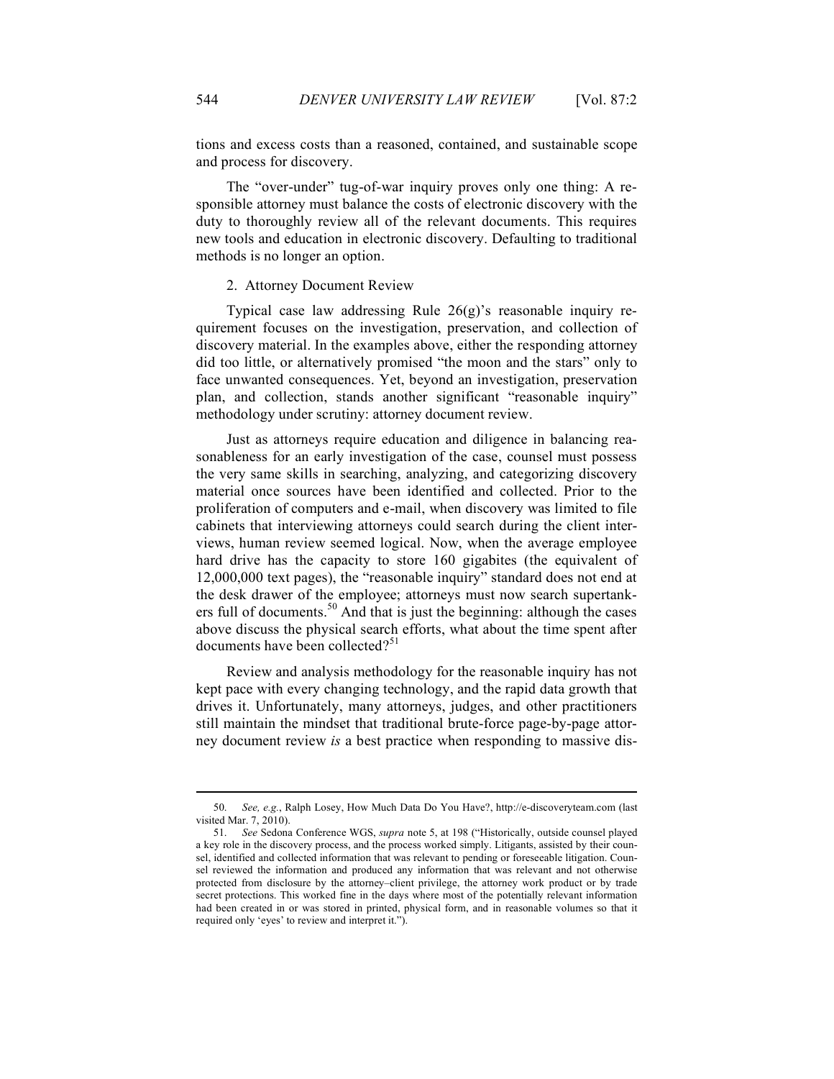tions and excess costs than a reasoned, contained, and sustainable scope and process for discovery.

The "over-under" tug-of-war inquiry proves only one thing: A responsible attorney must balance the costs of electronic discovery with the duty to thoroughly review all of the relevant documents. This requires new tools and education in electronic discovery. Defaulting to traditional methods is no longer an option.

#### 2. Attorney Document Review

Typical case law addressing Rule 26(g)'s reasonable inquiry requirement focuses on the investigation, preservation, and collection of discovery material. In the examples above, either the responding attorney did too little, or alternatively promised "the moon and the stars" only to face unwanted consequences. Yet, beyond an investigation, preservation plan, and collection, stands another significant "reasonable inquiry" methodology under scrutiny: attorney document review.

Just as attorneys require education and diligence in balancing reasonableness for an early investigation of the case, counsel must possess the very same skills in searching, analyzing, and categorizing discovery material once sources have been identified and collected. Prior to the proliferation of computers and e-mail, when discovery was limited to file cabinets that interviewing attorneys could search during the client interviews, human review seemed logical. Now, when the average employee hard drive has the capacity to store 160 gigabites (the equivalent of 12,000,000 text pages), the "reasonable inquiry" standard does not end at the desk drawer of the employee; attorneys must now search supertankers full of documents.<sup>50</sup> And that is just the beginning: although the cases above discuss the physical search efforts, what about the time spent after documents have been collected? $51$ 

Review and analysis methodology for the reasonable inquiry has not kept pace with every changing technology, and the rapid data growth that drives it. Unfortunately, many attorneys, judges, and other practitioners still maintain the mindset that traditional brute-force page-by-page attorney document review *is* a best practice when responding to massive dis-

<sup>50.</sup> *See, e.g.*, Ralph Losey, How Much Data Do You Have?, http://e-discoveryteam.com (last visited Mar. 7, 2010).

<sup>51.</sup> *See* Sedona Conference WGS, *supra* note 5, at 198 ("Historically, outside counsel played a key role in the discovery process, and the process worked simply. Litigants, assisted by their counsel, identified and collected information that was relevant to pending or foreseeable litigation. Counsel reviewed the information and produced any information that was relevant and not otherwise protected from disclosure by the attorney–client privilege, the attorney work product or by trade secret protections. This worked fine in the days where most of the potentially relevant information had been created in or was stored in printed, physical form, and in reasonable volumes so that it required only 'eyes' to review and interpret it.").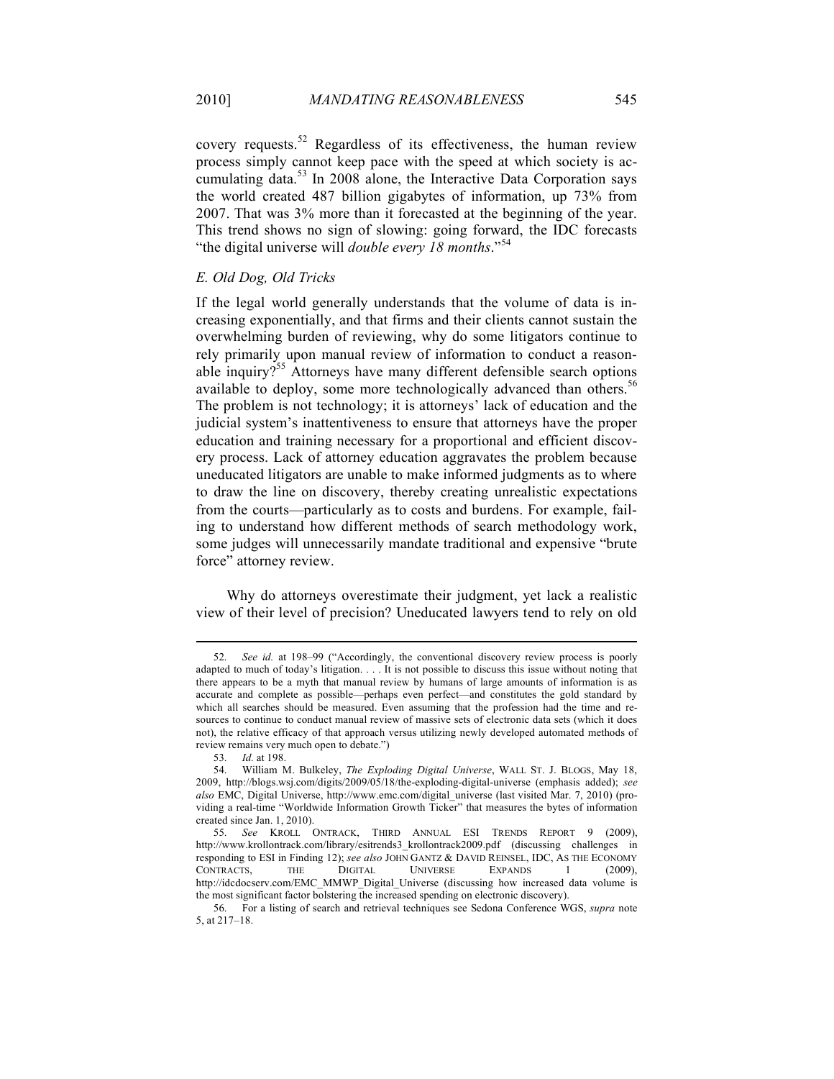covery requests.<sup>52</sup> Regardless of its effectiveness, the human review process simply cannot keep pace with the speed at which society is accumulating data.<sup>53</sup> In 2008 alone, the Interactive Data Corporation says the world created 487 billion gigabytes of information, up 73% from 2007. That was 3% more than it forecasted at the beginning of the year. This trend shows no sign of slowing: going forward, the IDC forecasts "the digital universe will *double every 18 months*." 54

## *E. Old Dog, Old Tricks*

If the legal world generally understands that the volume of data is increasing exponentially, and that firms and their clients cannot sustain the overwhelming burden of reviewing, why do some litigators continue to rely primarily upon manual review of information to conduct a reasonable inquiry?<sup>55</sup> Attorneys have many different defensible search options available to deploy, some more technologically advanced than others.<sup>56</sup> The problem is not technology; it is attorneys' lack of education and the judicial system's inattentiveness to ensure that attorneys have the proper education and training necessary for a proportional and efficient discovery process. Lack of attorney education aggravates the problem because uneducated litigators are unable to make informed judgments as to where to draw the line on discovery, thereby creating unrealistic expectations from the courts—particularly as to costs and burdens. For example, failing to understand how different methods of search methodology work, some judges will unnecessarily mandate traditional and expensive "brute force" attorney review.

Why do attorneys overestimate their judgment, yet lack a realistic view of their level of precision? Uneducated lawyers tend to rely on old

<sup>52.</sup> *See id.* at 198–99 ("Accordingly, the conventional discovery review process is poorly adapted to much of today's litigation. . . . It is not possible to discuss this issue without noting that there appears to be a myth that manual review by humans of large amounts of information is as accurate and complete as possible—perhaps even perfect—and constitutes the gold standard by which all searches should be measured. Even assuming that the profession had the time and resources to continue to conduct manual review of massive sets of electronic data sets (which it does not), the relative efficacy of that approach versus utilizing newly developed automated methods of review remains very much open to debate.")

<sup>53.</sup> *Id.* at 198.

<sup>54.</sup> William M. Bulkeley, *The Exploding Digital Universe*, WALL ST. J. BLOGS, May 18, 2009, http://blogs.wsj.com/digits/2009/05/18/the-exploding-digital-universe (emphasis added); *see also* EMC, Digital Universe, http://www.emc.com/digital\_universe (last visited Mar. 7, 2010) (providing a real-time "Worldwide Information Growth Ticker" that measures the bytes of information created since Jan. 1, 2010).

<sup>55.</sup> *See* KROLL ONTRACK, THIRD ANNUAL ESI TRENDS REPORT 9 (2009), http://www.krollontrack.com/library/esitrends3\_krollontrack2009.pdf (discussing challenges in responding to ESI in Finding 12); *see also* JOHN GANTZ & DAVID REINSEL, IDC, AS THE ECONOMY CONTRACTS, THE DIGITAL UNIVERSE EXPANDS 1 (2009), http://idcdocserv.com/EMC\_MMWP\_Digital\_Universe (discussing how increased data volume is the most significant factor bolstering the increased spending on electronic discovery).

<sup>56.</sup> For a listing of search and retrieval techniques see Sedona Conference WGS, *supra* note 5, at 217–18.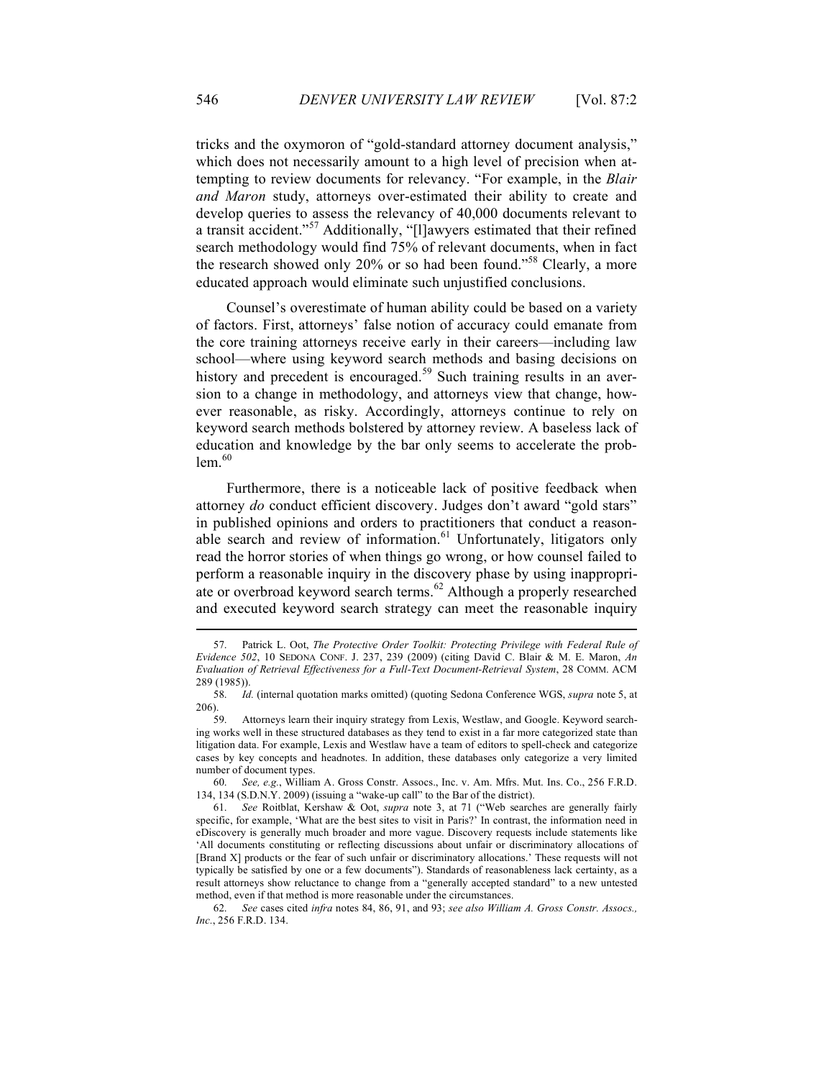tricks and the oxymoron of "gold-standard attorney document analysis," which does not necessarily amount to a high level of precision when attempting to review documents for relevancy. "For example, in the *Blair and Maron* study, attorneys over-estimated their ability to create and develop queries to assess the relevancy of 40,000 documents relevant to a transit accident."57 Additionally, "[l]awyers estimated that their refined search methodology would find 75% of relevant documents, when in fact the research showed only 20% or so had been found."58 Clearly, a more educated approach would eliminate such unjustified conclusions.

Counsel's overestimate of human ability could be based on a variety of factors. First, attorneys' false notion of accuracy could emanate from the core training attorneys receive early in their careers—including law school—where using keyword search methods and basing decisions on history and precedent is encouraged.<sup>59</sup> Such training results in an aversion to a change in methodology, and attorneys view that change, however reasonable, as risky. Accordingly, attorneys continue to rely on keyword search methods bolstered by attorney review. A baseless lack of education and knowledge by the bar only seems to accelerate the prob $lem.<sup>60</sup>$ 

Furthermore, there is a noticeable lack of positive feedback when attorney *do* conduct efficient discovery. Judges don't award "gold stars" in published opinions and orders to practitioners that conduct a reasonable search and review of information.<sup>61</sup> Unfortunately, litigators only read the horror stories of when things go wrong, or how counsel failed to perform a reasonable inquiry in the discovery phase by using inappropriate or overbroad keyword search terms.<sup>62</sup> Although a properly researched and executed keyword search strategy can meet the reasonable inquiry

<sup>57.</sup> Patrick L. Oot, *The Protective Order Toolkit: Protecting Privilege with Federal Rule of Evidence 502*, 10 SEDONA CONF. J. 237, 239 (2009) (citing David C. Blair & M. E. Maron, *An Evaluation of Retrieval Effectiveness for a Full-Text Document-Retrieval System*, 28 COMM. ACM 289 (1985)).

<sup>58.</sup> *Id.* (internal quotation marks omitted) (quoting Sedona Conference WGS, *supra* note 5, at 206).

<sup>59.</sup> Attorneys learn their inquiry strategy from Lexis, Westlaw, and Google. Keyword searching works well in these structured databases as they tend to exist in a far more categorized state than litigation data. For example, Lexis and Westlaw have a team of editors to spell-check and categorize cases by key concepts and headnotes. In addition, these databases only categorize a very limited number of document types.

<sup>60.</sup> *See, e.g.*, William A. Gross Constr. Assocs., Inc. v. Am. Mfrs. Mut. Ins. Co., 256 F.R.D. 134, 134 (S.D.N.Y. 2009) (issuing a "wake-up call" to the Bar of the district).

<sup>61.</sup> *See* Roitblat, Kershaw & Oot, *supra* note 3, at 71 ("Web searches are generally fairly specific, for example, 'What are the best sites to visit in Paris?' In contrast, the information need in eDiscovery is generally much broader and more vague. Discovery requests include statements like 'All documents constituting or reflecting discussions about unfair or discriminatory allocations of [Brand X] products or the fear of such unfair or discriminatory allocations.' These requests will not typically be satisfied by one or a few documents"). Standards of reasonableness lack certainty, as a result attorneys show reluctance to change from a "generally accepted standard" to a new untested method, even if that method is more reasonable under the circumstances.

<sup>62.</sup> *See* cases cited *infra* notes 84, 86, 91, and 93; *see also William A. Gross Constr. Assocs., Inc.*, 256 F.R.D. 134.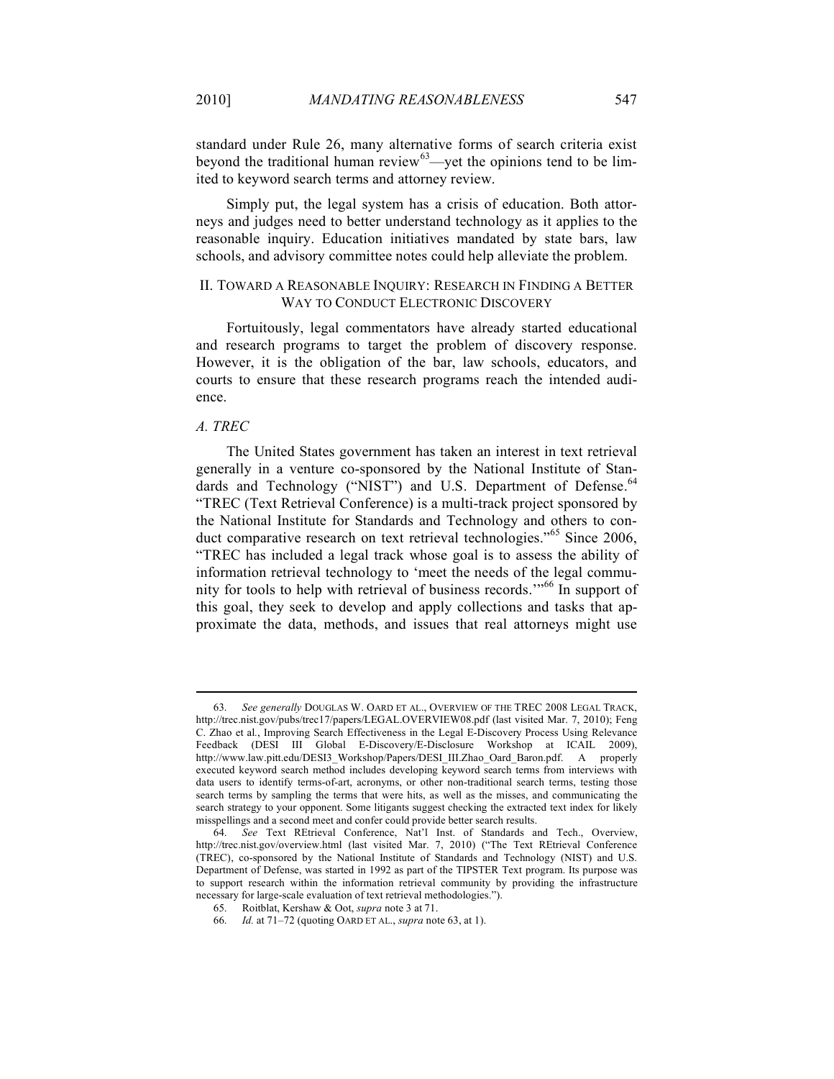standard under Rule 26, many alternative forms of search criteria exist beyond the traditional human review $63$ —yet the opinions tend to be limited to keyword search terms and attorney review.

Simply put, the legal system has a crisis of education. Both attorneys and judges need to better understand technology as it applies to the reasonable inquiry. Education initiatives mandated by state bars, law schools, and advisory committee notes could help alleviate the problem.

## II. TOWARD A REASONABLE INQUIRY: RESEARCH IN FINDING A BETTER WAY TO CONDUCT ELECTRONIC DISCOVERY

Fortuitously, legal commentators have already started educational and research programs to target the problem of discovery response. However, it is the obligation of the bar, law schools, educators, and courts to ensure that these research programs reach the intended audience.

## *A. TREC*

The United States government has taken an interest in text retrieval generally in a venture co-sponsored by the National Institute of Standards and Technology ("NIST") and U.S. Department of Defense.<sup>64</sup> "TREC (Text Retrieval Conference) is a multi-track project sponsored by the National Institute for Standards and Technology and others to conduct comparative research on text retrieval technologies."<sup>65</sup> Since 2006, "TREC has included a legal track whose goal is to assess the ability of information retrieval technology to 'meet the needs of the legal community for tools to help with retrieval of business records.'" <sup>66</sup> In support of this goal, they seek to develop and apply collections and tasks that approximate the data, methods, and issues that real attorneys might use

<sup>63.</sup> *See generally* DOUGLAS W. OARD ET AL., OVERVIEW OF THE TREC 2008 LEGAL TRACK, http://trec.nist.gov/pubs/trec17/papers/LEGAL.OVERVIEW08.pdf (last visited Mar. 7, 2010); Feng C. Zhao et al*.*, Improving Search Effectiveness in the Legal E-Discovery Process Using Relevance Feedback (DESI III Global E-Discovery/E-Disclosure Workshop at ICAIL 2009), http://www.law.pitt.edu/DESI3\_Workshop/Papers/DESI\_III.Zhao\_Oard\_Baron.pdf. A properly executed keyword search method includes developing keyword search terms from interviews with data users to identify terms-of-art, acronyms, or other non-traditional search terms, testing those search terms by sampling the terms that were hits, as well as the misses, and communicating the search strategy to your opponent. Some litigants suggest checking the extracted text index for likely misspellings and a second meet and confer could provide better search results.

<sup>64.</sup> *See* Text REtrieval Conference, Nat'l Inst. of Standards and Tech., Overview, http://trec.nist.gov/overview.html (last visited Mar. 7, 2010) ("The Text REtrieval Conference (TREC), co-sponsored by the National Institute of Standards and Technology (NIST) and U.S. Department of Defense, was started in 1992 as part of the TIPSTER Text program. Its purpose was to support research within the information retrieval community by providing the infrastructure necessary for large-scale evaluation of text retrieval methodologies.").

<sup>65.</sup> Roitblat, Kershaw & Oot, *supra* note 3 at 71.

<sup>66.</sup> *Id.* at 71–72 (quoting OARD ET AL., *supra* note 63, at 1).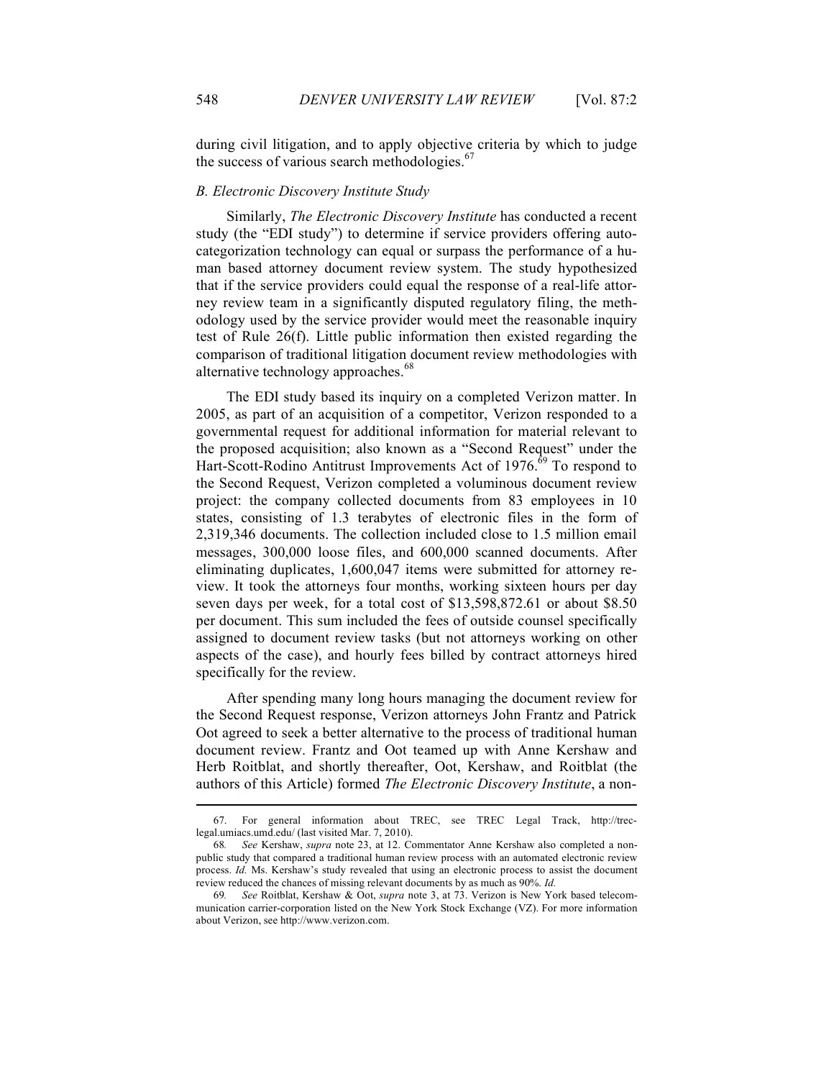during civil litigation, and to apply objective criteria by which to judge the success of various search methodologies. $\frac{67}{3}$ 

## *B. Electronic Discovery Institute Study*

Similarly, *The Electronic Discovery Institute* has conducted a recent study (the "EDI study") to determine if service providers offering autocategorization technology can equal or surpass the performance of a human based attorney document review system. The study hypothesized that if the service providers could equal the response of a real-life attorney review team in a significantly disputed regulatory filing, the methodology used by the service provider would meet the reasonable inquiry test of Rule 26(f). Little public information then existed regarding the comparison of traditional litigation document review methodologies with alternative technology approaches.<sup>68</sup>

The EDI study based its inquiry on a completed Verizon matter. In 2005, as part of an acquisition of a competitor, Verizon responded to a governmental request for additional information for material relevant to the proposed acquisition; also known as a "Second Request" under the Hart-Scott-Rodino Antitrust Improvements Act of 1976.<sup>69</sup> To respond to the Second Request, Verizon completed a voluminous document review project: the company collected documents from 83 employees in 10 states, consisting of 1.3 terabytes of electronic files in the form of 2,319,346 documents. The collection included close to 1.5 million email messages, 300,000 loose files, and 600,000 scanned documents. After eliminating duplicates, 1,600,047 items were submitted for attorney review. It took the attorneys four months, working sixteen hours per day seven days per week, for a total cost of \$13,598,872.61 or about \$8.50 per document. This sum included the fees of outside counsel specifically assigned to document review tasks (but not attorneys working on other aspects of the case), and hourly fees billed by contract attorneys hired specifically for the review.

After spending many long hours managing the document review for the Second Request response, Verizon attorneys John Frantz and Patrick Oot agreed to seek a better alternative to the process of traditional human document review. Frantz and Oot teamed up with Anne Kershaw and Herb Roitblat, and shortly thereafter, Oot, Kershaw, and Roitblat (the authors of this Article) formed *The Electronic Discovery Institute*, a non-

<sup>67.</sup> For general information about TREC, see TREC Legal Track, http://treclegal.umiacs.umd.edu/ (last visited Mar. 7, 2010).

<sup>68</sup>*. See* Kershaw, *supra* note 23, at 12. Commentator Anne Kershaw also completed a nonpublic study that compared a traditional human review process with an automated electronic review process. *Id.* Ms. Kershaw's study revealed that using an electronic process to assist the document review reduced the chances of missing relevant documents by as much as 90%. *Id.*

<sup>69</sup>*. See* Roitblat, Kershaw & Oot, *supra* note 3, at 73. Verizon is New York based telecommunication carrier-corporation listed on the New York Stock Exchange (VZ). For more information about Verizon, see http://www.verizon.com.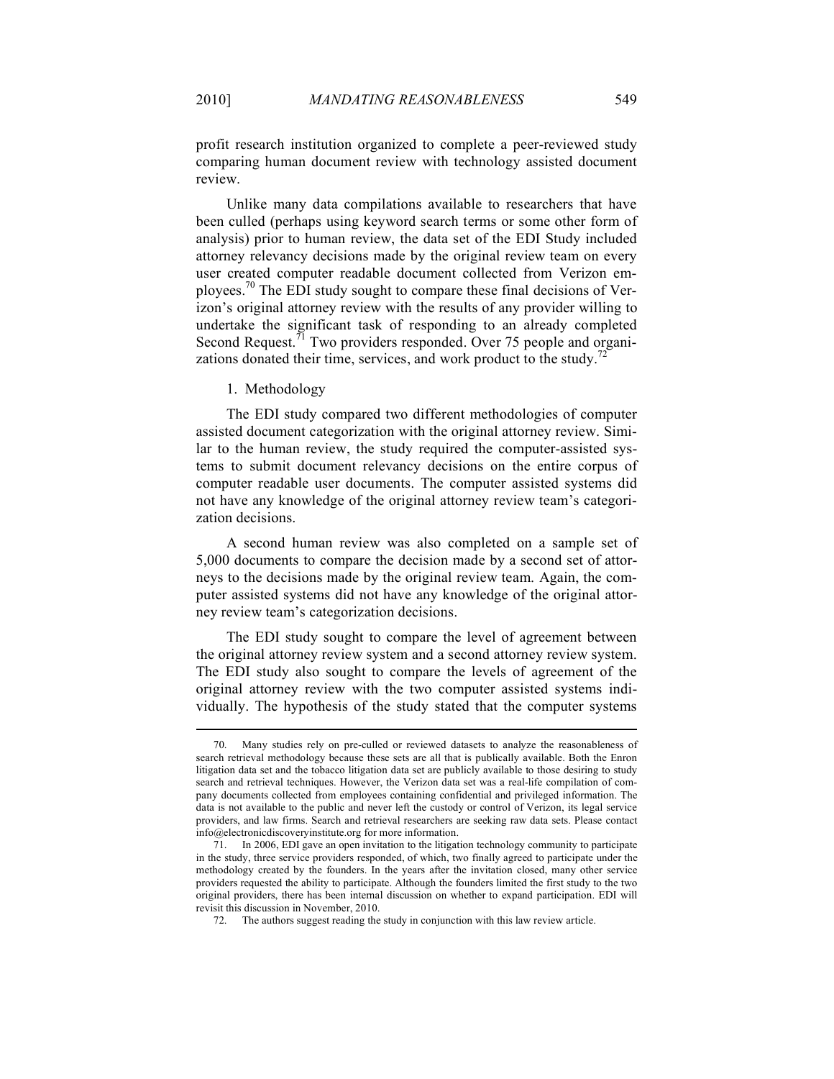profit research institution organized to complete a peer-reviewed study comparing human document review with technology assisted document review.

Unlike many data compilations available to researchers that have been culled (perhaps using keyword search terms or some other form of analysis) prior to human review, the data set of the EDI Study included attorney relevancy decisions made by the original review team on every user created computer readable document collected from Verizon employees.<sup>70</sup> The EDI study sought to compare these final decisions of Verizon's original attorney review with the results of any provider willing to undertake the significant task of responding to an already completed Second Request.<sup>71</sup> Two providers responded. Over 75 people and organizations donated their time, services, and work product to the study.<sup>7</sup>

1. Methodology

The EDI study compared two different methodologies of computer assisted document categorization with the original attorney review. Similar to the human review, the study required the computer-assisted systems to submit document relevancy decisions on the entire corpus of computer readable user documents. The computer assisted systems did not have any knowledge of the original attorney review team's categorization decisions.

A second human review was also completed on a sample set of 5,000 documents to compare the decision made by a second set of attorneys to the decisions made by the original review team. Again, the computer assisted systems did not have any knowledge of the original attorney review team's categorization decisions.

The EDI study sought to compare the level of agreement between the original attorney review system and a second attorney review system. The EDI study also sought to compare the levels of agreement of the original attorney review with the two computer assisted systems individually. The hypothesis of the study stated that the computer systems

<sup>70.</sup> Many studies rely on pre-culled or reviewed datasets to analyze the reasonableness of search retrieval methodology because these sets are all that is publically available. Both the Enron litigation data set and the tobacco litigation data set are publicly available to those desiring to study search and retrieval techniques. However, the Verizon data set was a real-life compilation of company documents collected from employees containing confidential and privileged information. The data is not available to the public and never left the custody or control of Verizon, its legal service providers, and law firms. Search and retrieval researchers are seeking raw data sets. Please contact info@electronicdiscoveryinstitute.org for more information.

<sup>71.</sup> In 2006, EDI gave an open invitation to the litigation technology community to participate in the study, three service providers responded, of which, two finally agreed to participate under the methodology created by the founders. In the years after the invitation closed, many other service providers requested the ability to participate. Although the founders limited the first study to the two original providers, there has been internal discussion on whether to expand participation. EDI will revisit this discussion in November, 2010.

<sup>72.</sup> The authors suggest reading the study in conjunction with this law review article.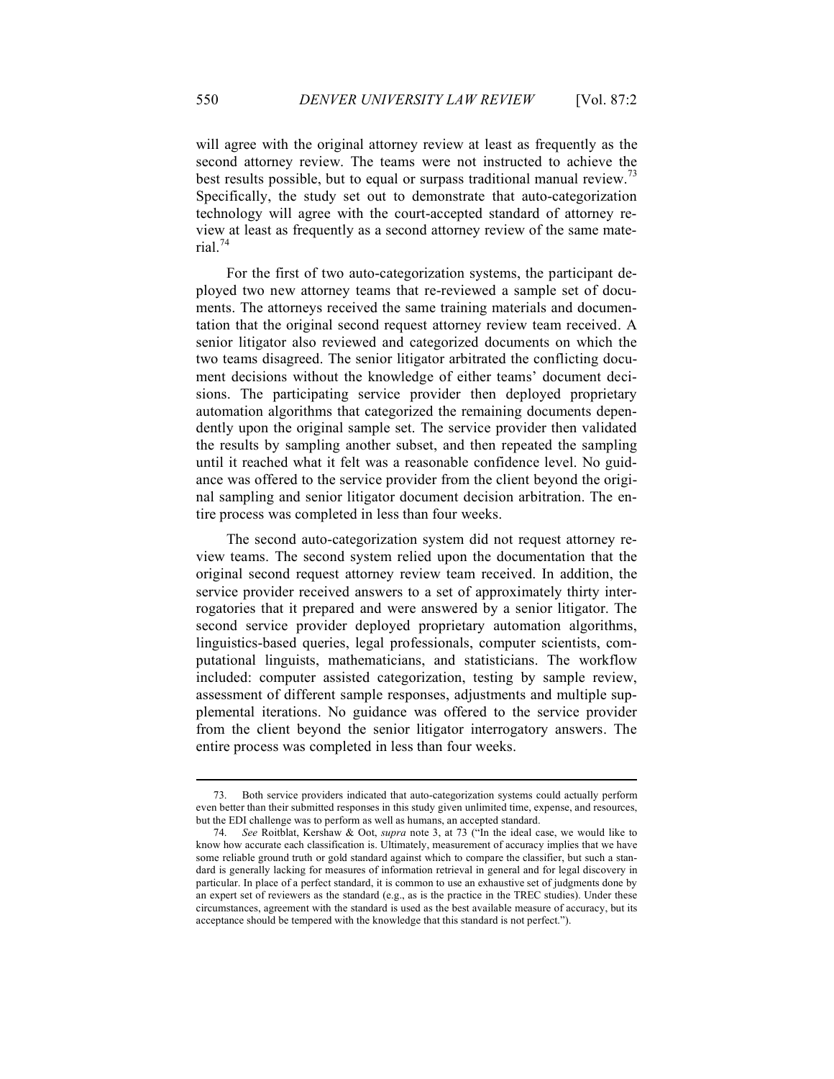will agree with the original attorney review at least as frequently as the second attorney review. The teams were not instructed to achieve the best results possible, but to equal or surpass traditional manual review.<sup>73</sup> Specifically, the study set out to demonstrate that auto-categorization technology will agree with the court-accepted standard of attorney review at least as frequently as a second attorney review of the same material. $74$ 

For the first of two auto-categorization systems, the participant deployed two new attorney teams that re-reviewed a sample set of documents. The attorneys received the same training materials and documentation that the original second request attorney review team received. A senior litigator also reviewed and categorized documents on which the two teams disagreed. The senior litigator arbitrated the conflicting document decisions without the knowledge of either teams' document decisions. The participating service provider then deployed proprietary automation algorithms that categorized the remaining documents dependently upon the original sample set. The service provider then validated the results by sampling another subset, and then repeated the sampling until it reached what it felt was a reasonable confidence level. No guidance was offered to the service provider from the client beyond the original sampling and senior litigator document decision arbitration. The entire process was completed in less than four weeks.

The second auto-categorization system did not request attorney review teams. The second system relied upon the documentation that the original second request attorney review team received. In addition, the service provider received answers to a set of approximately thirty interrogatories that it prepared and were answered by a senior litigator. The second service provider deployed proprietary automation algorithms, linguistics-based queries, legal professionals, computer scientists, computational linguists, mathematicians, and statisticians. The workflow included: computer assisted categorization, testing by sample review, assessment of different sample responses, adjustments and multiple supplemental iterations. No guidance was offered to the service provider from the client beyond the senior litigator interrogatory answers. The entire process was completed in less than four weeks.

<sup>73.</sup> Both service providers indicated that auto-categorization systems could actually perform even better than their submitted responses in this study given unlimited time, expense, and resources, but the EDI challenge was to perform as well as humans, an accepted standard.

<sup>74.</sup> *See* Roitblat, Kershaw & Oot, *supra* note 3, at 73 ("In the ideal case, we would like to know how accurate each classification is. Ultimately, measurement of accuracy implies that we have some reliable ground truth or gold standard against which to compare the classifier, but such a standard is generally lacking for measures of information retrieval in general and for legal discovery in particular. In place of a perfect standard, it is common to use an exhaustive set of judgments done by an expert set of reviewers as the standard (e.g., as is the practice in the TREC studies). Under these circumstances, agreement with the standard is used as the best available measure of accuracy, but its acceptance should be tempered with the knowledge that this standard is not perfect.").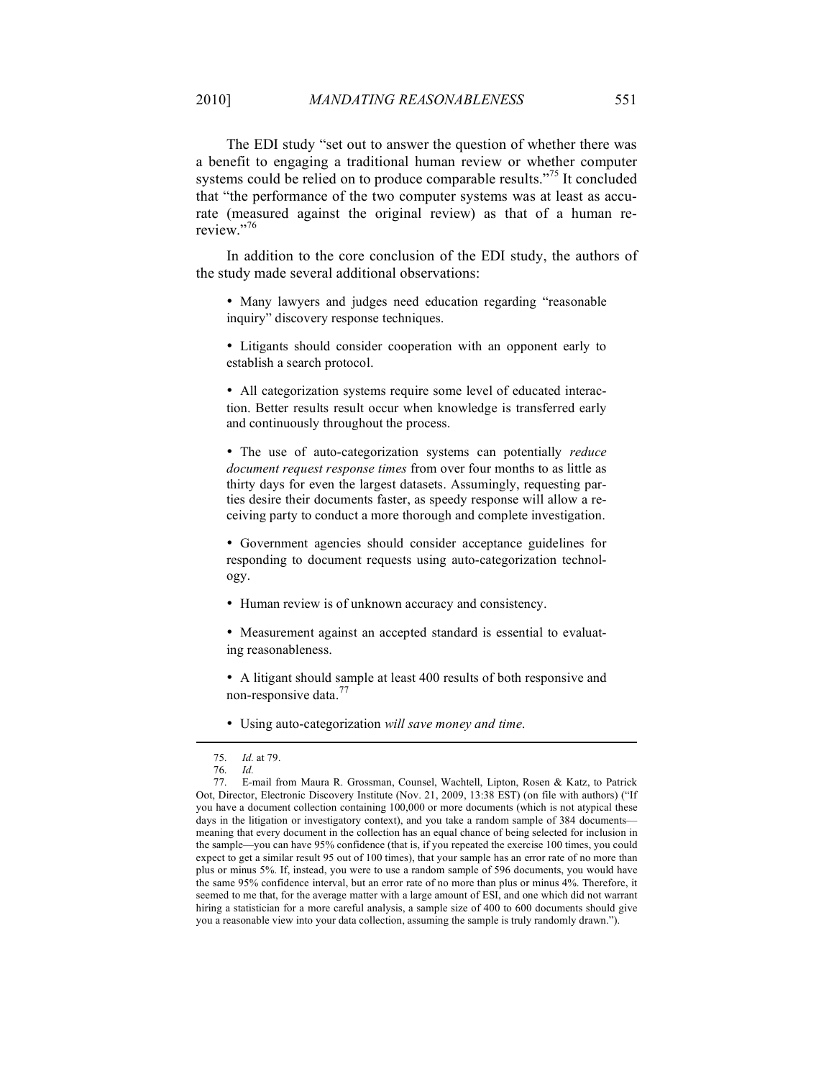The EDI study "set out to answer the question of whether there was a benefit to engaging a traditional human review or whether computer systems could be relied on to produce comparable results."<sup>75</sup> It concluded that "the performance of the two computer systems was at least as accurate (measured against the original review) as that of a human rereview"<sup>76</sup>

In addition to the core conclusion of the EDI study, the authors of the study made several additional observations:

• Many lawyers and judges need education regarding "reasonable inquiry" discovery response techniques.

• Litigants should consider cooperation with an opponent early to establish a search protocol.

• All categorization systems require some level of educated interaction. Better results result occur when knowledge is transferred early and continuously throughout the process.

• The use of auto-categorization systems can potentially *reduce document request response times* from over four months to as little as thirty days for even the largest datasets. Assumingly, requesting parties desire their documents faster, as speedy response will allow a receiving party to conduct a more thorough and complete investigation.

• Government agencies should consider acceptance guidelines for responding to document requests using auto-categorization technology.

• Human review is of unknown accuracy and consistency.

• Measurement against an accepted standard is essential to evaluating reasonableness.

• A litigant should sample at least 400 results of both responsive and non-responsive data.<sup>77</sup>

• Using auto-categorization *will save money and time*.

<sup>75.</sup> *Id.* at 79.

<sup>76.</sup> *Id.*

<sup>77.</sup> E-mail from Maura R. Grossman, Counsel, Wachtell, Lipton, Rosen & Katz, to Patrick Oot, Director, Electronic Discovery Institute (Nov. 21, 2009, 13:38 EST) (on file with authors) ("If you have a document collection containing 100,000 or more documents (which is not atypical these days in the litigation or investigatory context), and you take a random sample of 384 documents meaning that every document in the collection has an equal chance of being selected for inclusion in the sample—you can have 95% confidence (that is, if you repeated the exercise 100 times, you could expect to get a similar result 95 out of 100 times), that your sample has an error rate of no more than plus or minus 5%. If, instead, you were to use a random sample of 596 documents, you would have the same 95% confidence interval, but an error rate of no more than plus or minus 4%. Therefore, it seemed to me that, for the average matter with a large amount of ESI, and one which did not warrant hiring a statistician for a more careful analysis, a sample size of 400 to 600 documents should give you a reasonable view into your data collection, assuming the sample is truly randomly drawn.").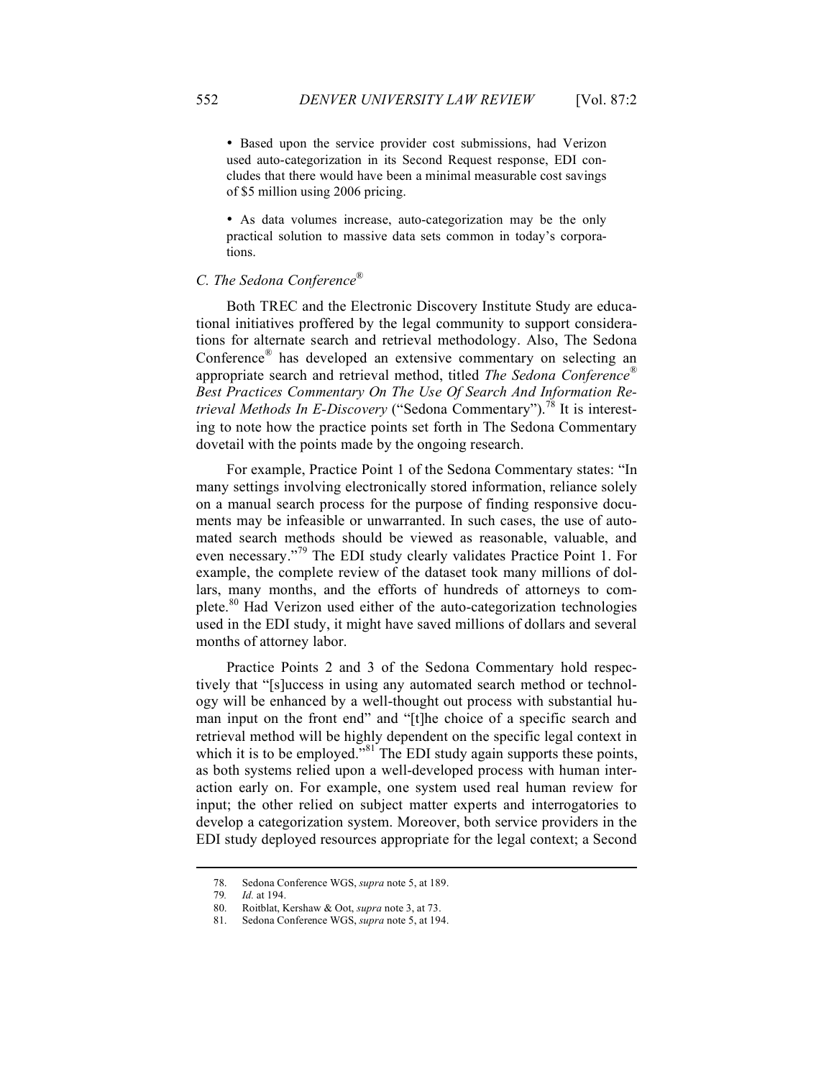• Based upon the service provider cost submissions, had Verizon used auto-categorization in its Second Request response, EDI concludes that there would have been a minimal measurable cost savings of \$5 million using 2006 pricing.

• As data volumes increase, auto-categorization may be the only practical solution to massive data sets common in today's corporations.

## *C. The Sedona Conference*®

Both TREC and the Electronic Discovery Institute Study are educational initiatives proffered by the legal community to support considerations for alternate search and retrieval methodology. Also, The Sedona Conference*®* has developed an extensive commentary on selecting an appropriate search and retrieval method, titled *The Sedona Conference ® Best Practices Commentary On The Use Of Search And Information Retrieval Methods In E-Discovery* ("Sedona Commentary").<sup>78</sup> It is interesting to note how the practice points set forth in The Sedona Commentary dovetail with the points made by the ongoing research.

For example, Practice Point 1 of the Sedona Commentary states: "In many settings involving electronically stored information, reliance solely on a manual search process for the purpose of finding responsive documents may be infeasible or unwarranted. In such cases, the use of automated search methods should be viewed as reasonable, valuable, and even necessary."<sup>79</sup> The EDI study clearly validates Practice Point 1. For example, the complete review of the dataset took many millions of dollars, many months, and the efforts of hundreds of attorneys to complete.<sup>80</sup> Had Verizon used either of the auto-categorization technologies used in the EDI study, it might have saved millions of dollars and several months of attorney labor.

Practice Points 2 and 3 of the Sedona Commentary hold respectively that "[s]uccess in using any automated search method or technology will be enhanced by a well-thought out process with substantial human input on the front end" and "[t]he choice of a specific search and retrieval method will be highly dependent on the specific legal context in which it is to be employed."<sup>81</sup> The EDI study again supports these points, as both systems relied upon a well-developed process with human interaction early on. For example, one system used real human review for input; the other relied on subject matter experts and interrogatories to develop a categorization system. Moreover, both service providers in the EDI study deployed resources appropriate for the legal context; a Second

<sup>78.</sup> Sedona Conference WGS, *supra* note 5, at 189.

<sup>79</sup>*. Id.* at 194.

<sup>80.</sup> Roitblat, Kershaw & Oot, *supra* note 3, at 73.

<sup>81.</sup> Sedona Conference WGS, *supra* note 5, at 194.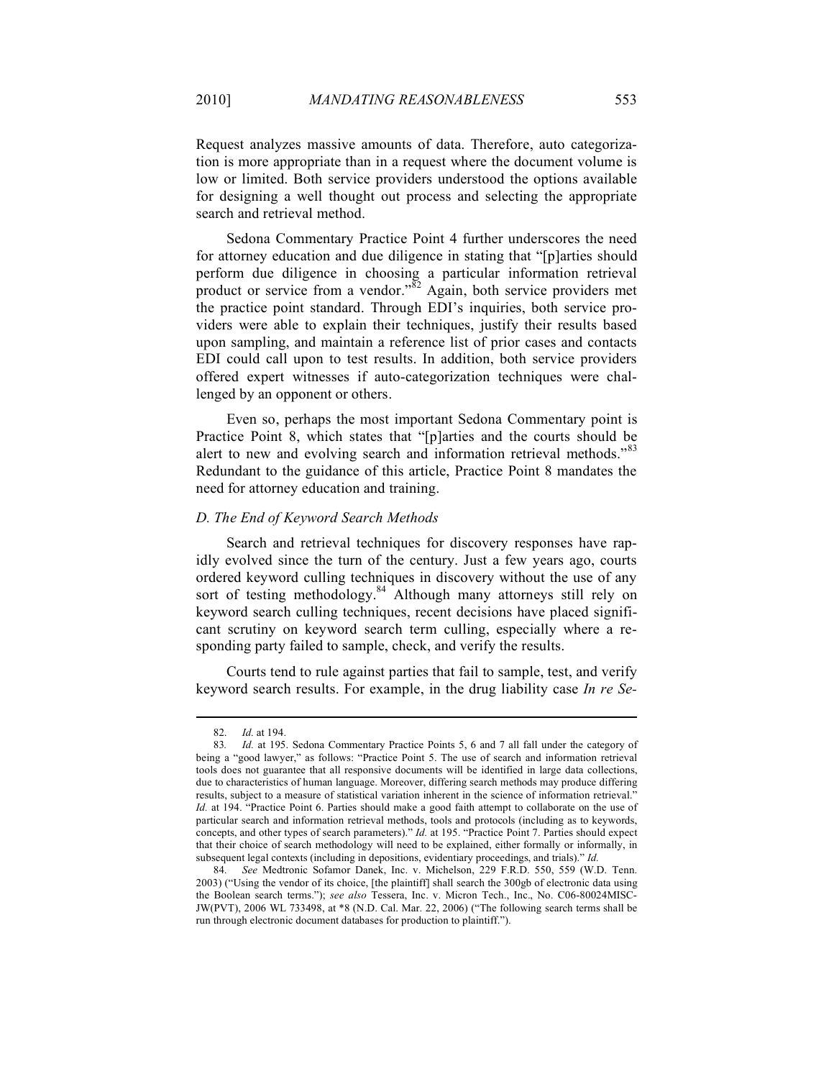Request analyzes massive amounts of data. Therefore, auto categorization is more appropriate than in a request where the document volume is low or limited. Both service providers understood the options available for designing a well thought out process and selecting the appropriate search and retrieval method.

Sedona Commentary Practice Point 4 further underscores the need for attorney education and due diligence in stating that "[p]arties should perform due diligence in choosing a particular information retrieval product or service from a vendor." $82$  Again, both service providers met the practice point standard. Through EDI's inquiries, both service providers were able to explain their techniques, justify their results based upon sampling, and maintain a reference list of prior cases and contacts EDI could call upon to test results. In addition, both service providers offered expert witnesses if auto-categorization techniques were challenged by an opponent or others.

Even so, perhaps the most important Sedona Commentary point is Practice Point 8, which states that "[p]arties and the courts should be alert to new and evolving search and information retrieval methods."<sup>83</sup> Redundant to the guidance of this article, Practice Point 8 mandates the need for attorney education and training.

#### *D. The End of Keyword Search Methods*

Search and retrieval techniques for discovery responses have rapidly evolved since the turn of the century. Just a few years ago, courts ordered keyword culling techniques in discovery without the use of any sort of testing methodology.<sup>84</sup> Although many attorneys still rely on keyword search culling techniques, recent decisions have placed significant scrutiny on keyword search term culling, especially where a responding party failed to sample, check, and verify the results.

Courts tend to rule against parties that fail to sample, test, and verify keyword search results. For example, in the drug liability case *In re Se-*

<sup>82.</sup> *Id.* at 194.

<sup>83</sup>*. Id.* at 195. Sedona Commentary Practice Points 5, 6 and 7 all fall under the category of being a "good lawyer," as follows: "Practice Point 5. The use of search and information retrieval tools does not guarantee that all responsive documents will be identified in large data collections, due to characteristics of human language. Moreover, differing search methods may produce differing results, subject to a measure of statistical variation inherent in the science of information retrieval." *Id.* at 194. "Practice Point 6. Parties should make a good faith attempt to collaborate on the use of particular search and information retrieval methods, tools and protocols (including as to keywords, concepts, and other types of search parameters)." *Id.* at 195. "Practice Point 7. Parties should expect that their choice of search methodology will need to be explained, either formally or informally, in subsequent legal contexts (including in depositions, evidentiary proceedings, and trials)." *Id.*

<sup>84.</sup> *See* Medtronic Sofamor Danek, Inc. v. Michelson, 229 F.R.D. 550, 559 (W.D. Tenn. 2003) ("Using the vendor of its choice, [the plaintiff] shall search the 300gb of electronic data using the Boolean search terms."); *see also* Tessera, Inc. v. Micron Tech., Inc., No. C06-80024MISC-JW(PVT), 2006 WL 733498, at \*8 (N.D. Cal. Mar. 22, 2006) ("The following search terms shall be run through electronic document databases for production to plaintiff.").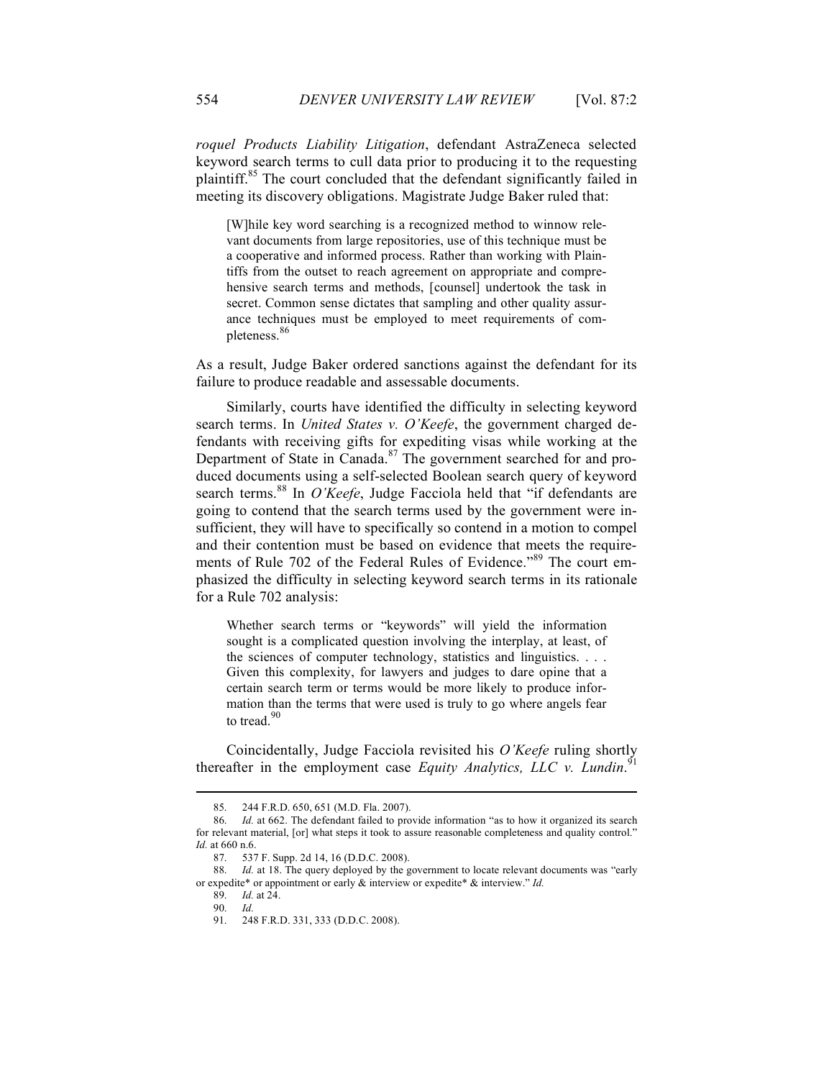*roquel Products Liability Litigation*, defendant AstraZeneca selected keyword search terms to cull data prior to producing it to the requesting plaintiff.<sup>85</sup> The court concluded that the defendant significantly failed in meeting its discovery obligations. Magistrate Judge Baker ruled that:

[W]hile key word searching is a recognized method to winnow relevant documents from large repositories, use of this technique must be a cooperative and informed process. Rather than working with Plaintiffs from the outset to reach agreement on appropriate and comprehensive search terms and methods, [counsel] undertook the task in secret. Common sense dictates that sampling and other quality assurance techniques must be employed to meet requirements of completeness.<sup>86</sup>

As a result, Judge Baker ordered sanctions against the defendant for its failure to produce readable and assessable documents.

Similarly, courts have identified the difficulty in selecting keyword search terms. In *United States v. O'Keefe*, the government charged defendants with receiving gifts for expediting visas while working at the Department of State in Canada.<sup>87</sup> The government searched for and produced documents using a self-selected Boolean search query of keyword search terms.<sup>88</sup> In *O'Keefe*, Judge Facciola held that "if defendants are going to contend that the search terms used by the government were insufficient, they will have to specifically so contend in a motion to compel and their contention must be based on evidence that meets the requirements of Rule 702 of the Federal Rules of Evidence."<sup>89</sup> The court emphasized the difficulty in selecting keyword search terms in its rationale for a Rule 702 analysis:

Whether search terms or "keywords" will yield the information sought is a complicated question involving the interplay, at least, of the sciences of computer technology, statistics and linguistics. . . . Given this complexity, for lawyers and judges to dare opine that a certain search term or terms would be more likely to produce information than the terms that were used is truly to go where angels fear to tread 90

Coincidentally, Judge Facciola revisited his *O'Keefe* ruling shortly thereafter in the employment case *Equity Analytics, LLC v. Lundin*. 91

<sup>85.</sup> 244 F.R.D. 650, 651 (M.D. Fla. 2007).

<sup>86.</sup> *Id.* at 662. The defendant failed to provide information "as to how it organized its search for relevant material, [or] what steps it took to assure reasonable completeness and quality control." *Id.* at 660 n.6.

<sup>87.</sup> 537 F. Supp. 2d 14, 16 (D.D.C. 2008).

Id. at 18. The query deployed by the government to locate relevant documents was "early or expedite\* or appointment or early & interview or expedite\* & interview." *Id.*

<sup>89.</sup> *Id.* at 24.

<sup>90.</sup> *Id.*

<sup>91.</sup> 248 F.R.D. 331, 333 (D.D.C. 2008).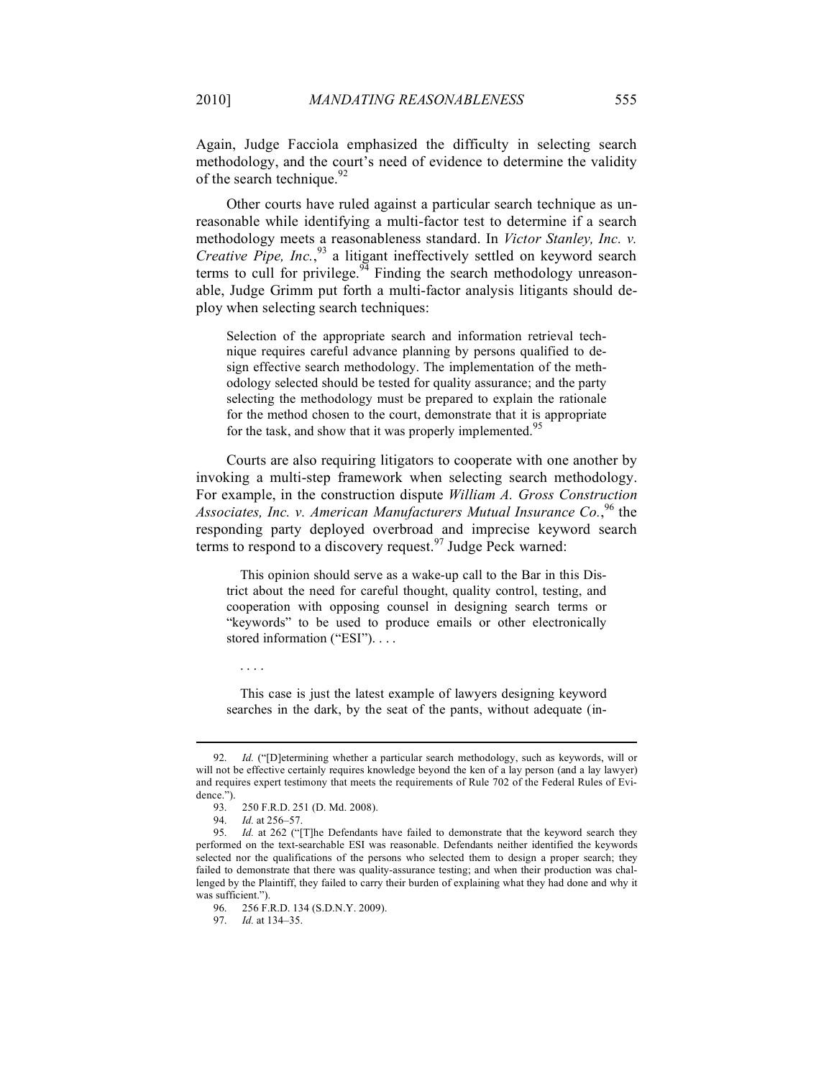Again, Judge Facciola emphasized the difficulty in selecting search methodology, and the court's need of evidence to determine the validity of the search technique.  $92$ 

Other courts have ruled against a particular search technique as unreasonable while identifying a multi-factor test to determine if a search methodology meets a reasonableness standard. In *Victor Stanley, Inc. v. Creative Pipe, Inc.*, 93 a litigant ineffectively settled on keyword search terms to cull for privilege.  $94$  Finding the search methodology unreasonable, Judge Grimm put forth a multi-factor analysis litigants should deploy when selecting search techniques:

Selection of the appropriate search and information retrieval technique requires careful advance planning by persons qualified to design effective search methodology. The implementation of the methodology selected should be tested for quality assurance; and the party selecting the methodology must be prepared to explain the rationale for the method chosen to the court, demonstrate that it is appropriate for the task, and show that it was properly implemented.<sup>95</sup>

Courts are also requiring litigators to cooperate with one another by invoking a multi-step framework when selecting search methodology. For example, in the construction dispute *William A. Gross Construction*  Associates, Inc. v. American Manufacturers Mutual Insurance Co.,<sup>96</sup> the responding party deployed overbroad and imprecise keyword search terms to respond to a discovery request.<sup>97</sup> Judge Peck warned:

This opinion should serve as a wake-up call to the Bar in this District about the need for careful thought, quality control, testing, and cooperation with opposing counsel in designing search terms or "keywords" to be used to produce emails or other electronically stored information ("ESI"). . . .

This case is just the latest example of lawyers designing keyword searches in the dark, by the seat of the pants, without adequate (in-

. . . .

<sup>92.</sup> *Id.* ("[D]etermining whether a particular search methodology, such as keywords, will or will not be effective certainly requires knowledge beyond the ken of a lay person (and a lay lawyer) and requires expert testimony that meets the requirements of Rule 702 of the Federal Rules of Evidence.").

<sup>93.</sup> 250 F.R.D. 251 (D. Md. 2008).

<sup>94.</sup> *Id.* at 256–57.

<sup>95.</sup> *Id.* at 262 ("[T]he Defendants have failed to demonstrate that the keyword search they performed on the text-searchable ESI was reasonable. Defendants neither identified the keywords selected nor the qualifications of the persons who selected them to design a proper search; they failed to demonstrate that there was quality-assurance testing; and when their production was challenged by the Plaintiff, they failed to carry their burden of explaining what they had done and why it was sufficient.").

<sup>96.</sup> 256 F.R.D. 134 (S.D.N.Y. 2009).

<sup>97.</sup> *Id.* at 134–35.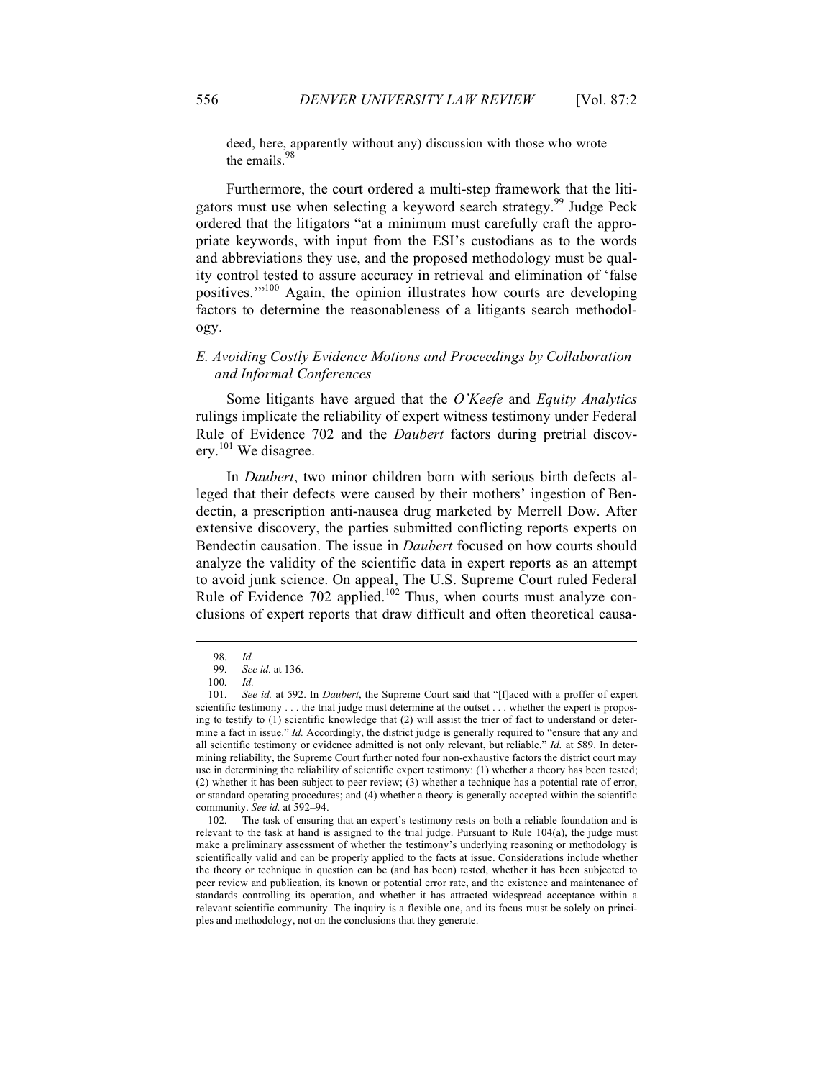deed, here, apparently without any) discussion with those who wrote the emails.<sup>98</sup>

Furthermore, the court ordered a multi-step framework that the litigators must use when selecting a keyword search strategy.<sup>99</sup> Judge Peck ordered that the litigators "at a minimum must carefully craft the appropriate keywords, with input from the ESI's custodians as to the words and abbreviations they use, and the proposed methodology must be quality control tested to assure accuracy in retrieval and elimination of 'false positives.'"100 Again, the opinion illustrates how courts are developing factors to determine the reasonableness of a litigants search methodology.

### *E. Avoiding Costly Evidence Motions and Proceedings by Collaboration and Informal Conferences*

Some litigants have argued that the *O'Keefe* and *Equity Analytics* rulings implicate the reliability of expert witness testimony under Federal Rule of Evidence 702 and the *Daubert* factors during pretrial discoverv.<sup>101</sup> We disagree.

In *Daubert*, two minor children born with serious birth defects alleged that their defects were caused by their mothers' ingestion of Bendectin, a prescription anti-nausea drug marketed by Merrell Dow. After extensive discovery, the parties submitted conflicting reports experts on Bendectin causation. The issue in *Daubert* focused on how courts should analyze the validity of the scientific data in expert reports as an attempt to avoid junk science. On appeal, The U.S. Supreme Court ruled Federal Rule of Evidence  $702$  applied.<sup>102</sup> Thus, when courts must analyze conclusions of expert reports that draw difficult and often theoretical causa-

<sup>98.</sup> *Id.*

<sup>99.</sup> *See id.* at 136.

<sup>100.</sup> *Id.*

<sup>101.</sup> *See id.* at 592. In *Daubert*, the Supreme Court said that "[f]aced with a proffer of expert scientific testimony . . . the trial judge must determine at the outset . . . whether the expert is proposing to testify to (1) scientific knowledge that (2) will assist the trier of fact to understand or determine a fact in issue." *Id.* Accordingly, the district judge is generally required to "ensure that any and all scientific testimony or evidence admitted is not only relevant, but reliable." *Id.* at 589. In determining reliability, the Supreme Court further noted four non-exhaustive factors the district court may use in determining the reliability of scientific expert testimony: (1) whether a theory has been tested; (2) whether it has been subject to peer review; (3) whether a technique has a potential rate of error, or standard operating procedures; and (4) whether a theory is generally accepted within the scientific community. *See id.* at 592–94.

<sup>102.</sup> The task of ensuring that an expert's testimony rests on both a reliable foundation and is relevant to the task at hand is assigned to the trial judge. Pursuant to Rule 104(a), the judge must make a preliminary assessment of whether the testimony's underlying reasoning or methodology is scientifically valid and can be properly applied to the facts at issue. Considerations include whether the theory or technique in question can be (and has been) tested, whether it has been subjected to peer review and publication, its known or potential error rate, and the existence and maintenance of standards controlling its operation, and whether it has attracted widespread acceptance within a relevant scientific community. The inquiry is a flexible one, and its focus must be solely on principles and methodology, not on the conclusions that they generate.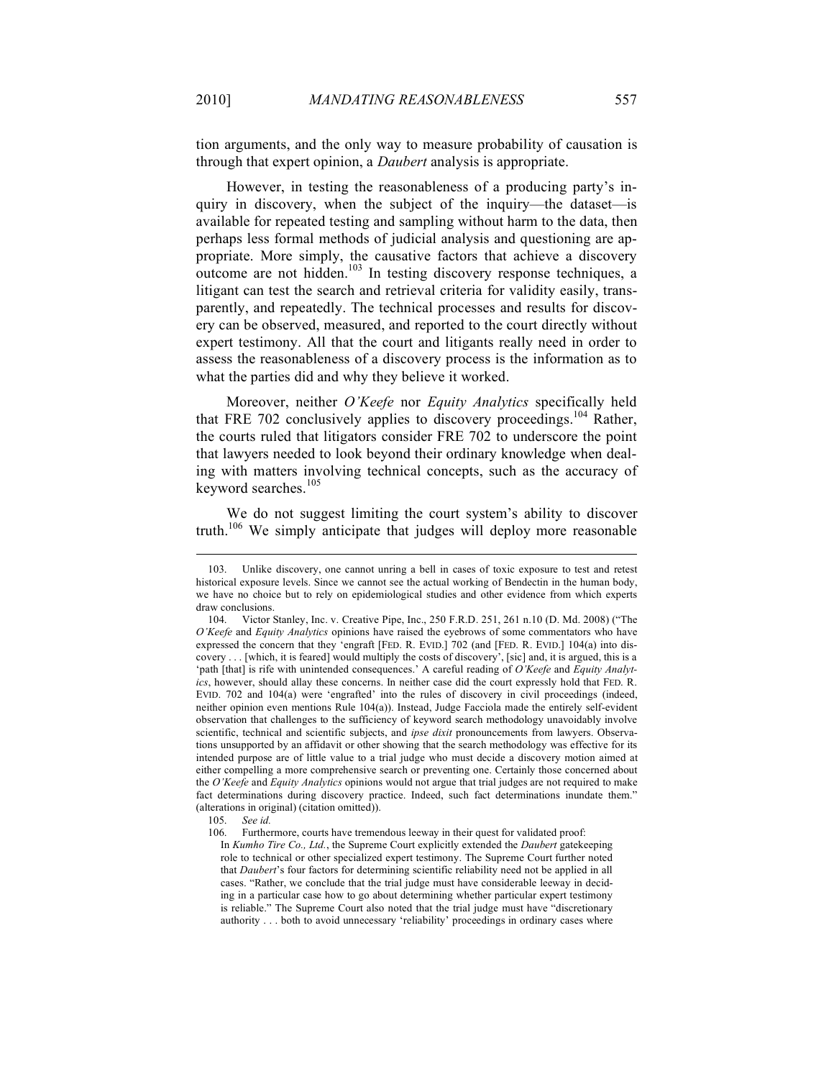tion arguments, and the only way to measure probability of causation is through that expert opinion, a *Daubert* analysis is appropriate.

However, in testing the reasonableness of a producing party's inquiry in discovery, when the subject of the inquiry—the dataset—is available for repeated testing and sampling without harm to the data, then perhaps less formal methods of judicial analysis and questioning are appropriate. More simply, the causative factors that achieve a discovery outcome are not hidden.<sup>103</sup> In testing discovery response techniques, a litigant can test the search and retrieval criteria for validity easily, transparently, and repeatedly. The technical processes and results for discovery can be observed, measured, and reported to the court directly without expert testimony. All that the court and litigants really need in order to assess the reasonableness of a discovery process is the information as to what the parties did and why they believe it worked.

Moreover, neither *O'Keefe* nor *Equity Analytics* specifically held that FRE 702 conclusively applies to discovery proceedings.<sup>104</sup> Rather, the courts ruled that litigators consider FRE 702 to underscore the point that lawyers needed to look beyond their ordinary knowledge when dealing with matters involving technical concepts, such as the accuracy of keyword searches.<sup>105</sup>

We do not suggest limiting the court system's ability to discover truth.<sup>106</sup> We simply anticipate that judges will deploy more reasonable

<sup>103.</sup> Unlike discovery, one cannot unring a bell in cases of toxic exposure to test and retest historical exposure levels. Since we cannot see the actual working of Bendectin in the human body, we have no choice but to rely on epidemiological studies and other evidence from which experts draw conclusions.

<sup>104.</sup> Victor Stanley, Inc. v. Creative Pipe, Inc., 250 F.R.D. 251, 261 n.10 (D. Md. 2008) ("The *O'Keefe* and *Equity Analytics* opinions have raised the eyebrows of some commentators who have expressed the concern that they 'engraft [FED. R. EVID.] 702 (and [FED. R. EVID.] 104(a) into discovery . . . [which, it is feared] would multiply the costs of discovery', [sic] and, it is argued, this is a 'path [that] is rife with unintended consequences.' A careful reading of *O'Keefe* and *Equity Analytics*, however, should allay these concerns. In neither case did the court expressly hold that FED. R. EVID. 702 and 104(a) were 'engrafted' into the rules of discovery in civil proceedings (indeed, neither opinion even mentions Rule 104(a)). Instead, Judge Facciola made the entirely self-evident observation that challenges to the sufficiency of keyword search methodology unavoidably involve scientific, technical and scientific subjects, and *ipse dixit* pronouncements from lawyers. Observations unsupported by an affidavit or other showing that the search methodology was effective for its intended purpose are of little value to a trial judge who must decide a discovery motion aimed at either compelling a more comprehensive search or preventing one. Certainly those concerned about the *O'Keefe* and *Equity Analytics* opinions would not argue that trial judges are not required to make fact determinations during discovery practice. Indeed, such fact determinations inundate them." (alterations in original) (citation omitted)).

<sup>105.</sup> *See id.*

<sup>106.</sup> Furthermore, courts have tremendous leeway in their quest for validated proof:

In *Kumho Tire Co., Ltd.*, the Supreme Court explicitly extended the *Daubert* gatekeeping role to technical or other specialized expert testimony. The Supreme Court further noted that *Daubert*'s four factors for determining scientific reliability need not be applied in all cases. "Rather, we conclude that the trial judge must have considerable leeway in deciding in a particular case how to go about determining whether particular expert testimony is reliable." The Supreme Court also noted that the trial judge must have "discretionary authority . . . both to avoid unnecessary 'reliability' proceedings in ordinary cases where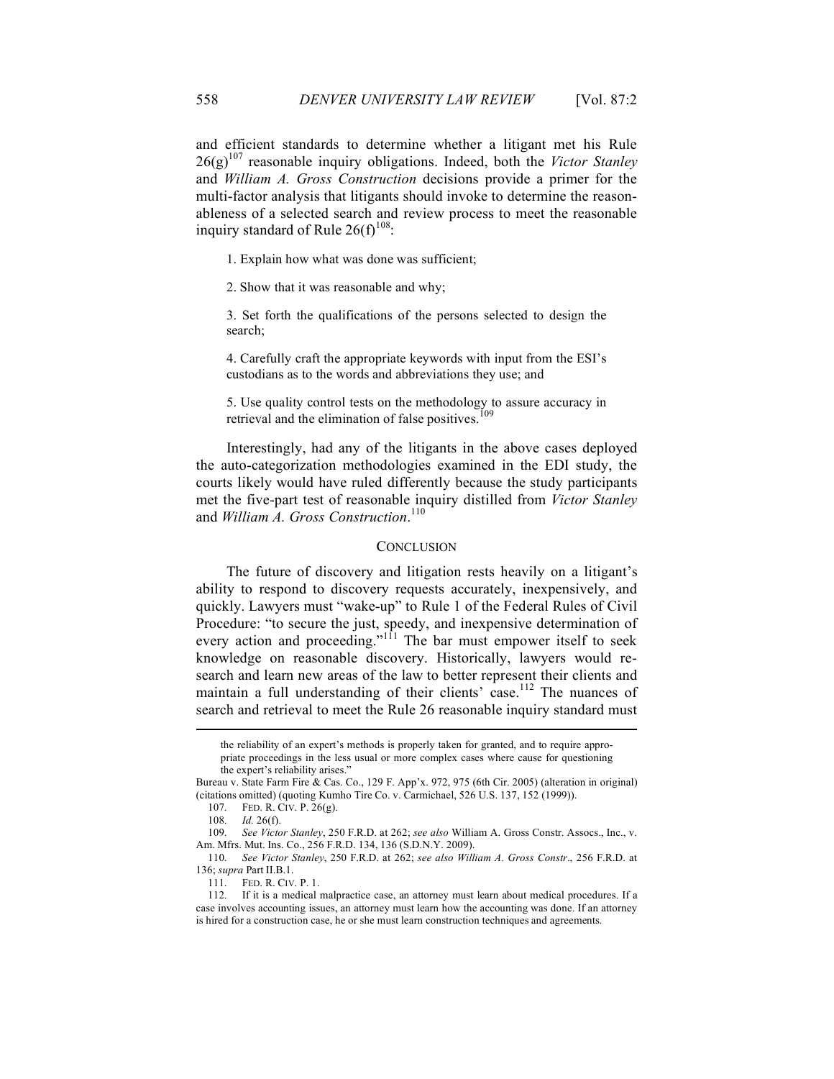and efficient standards to determine whether a litigant met his Rule  $26(g)^{107}$  reasonable inquiry obligations. Indeed, both the *Victor Stanley* and *William A. Gross Construction* decisions provide a primer for the multi-factor analysis that litigants should invoke to determine the reasonableness of a selected search and review process to meet the reasonable inquiry standard of Rule  $26(f)^{108}$ :

1. Explain how what was done was sufficient;

2. Show that it was reasonable and why;

3. Set forth the qualifications of the persons selected to design the search;

4. Carefully craft the appropriate keywords with input from the ESI's custodians as to the words and abbreviations they use; and

5. Use quality control tests on the methodology to assure accuracy in retrieval and the elimination of false positives.<sup>109</sup>

Interestingly, had any of the litigants in the above cases deployed the auto-categorization methodologies examined in the EDI study, the courts likely would have ruled differently because the study participants met the five-part test of reasonable inquiry distilled from *Victor Stanley* and *William A. Gross Construction*. 110

#### **CONCLUSION**

The future of discovery and litigation rests heavily on a litigant's ability to respond to discovery requests accurately, inexpensively, and quickly. Lawyers must "wake-up" to Rule 1 of the Federal Rules of Civil Procedure: "to secure the just, speedy, and inexpensive determination of every action and proceeding."<sup>111</sup> The bar must empower itself to seek knowledge on reasonable discovery. Historically, lawyers would research and learn new areas of the law to better represent their clients and maintain a full understanding of their clients' case.<sup>112</sup> The nuances of search and retrieval to meet the Rule 26 reasonable inquiry standard must

the reliability of an expert's methods is properly taken for granted, and to require appropriate proceedings in the less usual or more complex cases where cause for questioning the expert's reliability arises."

Bureau v. State Farm Fire & Cas. Co., 129 F. App'x. 972, 975 (6th Cir. 2005) (alteration in original) (citations omitted) (quoting Kumho Tire Co. v. Carmichael, 526 U.S. 137, 152 (1999)).

<sup>107.</sup> FED. R. CIV. P. 26(g).

<sup>108.</sup> *Id.* 26(f).

<sup>109.</sup> *See Victor Stanley*, 250 F.R.D. at 262; *see also* William A. Gross Constr. Assocs., Inc., v. Am. Mfrs. Mut. Ins. Co., 256 F.R.D. 134, 136 (S.D.N.Y. 2009).

<sup>110.</sup> *See Victor Stanley*, 250 F.R.D. at 262; *see also William A. Gross Constr*., 256 F.R.D. at 136; *supra* Part II.B.1.

<sup>111.</sup> FED. R. CIV. P. 1.

<sup>112.</sup> If it is a medical malpractice case, an attorney must learn about medical procedures. If a case involves accounting issues, an attorney must learn how the accounting was done. If an attorney is hired for a construction case, he or she must learn construction techniques and agreements.